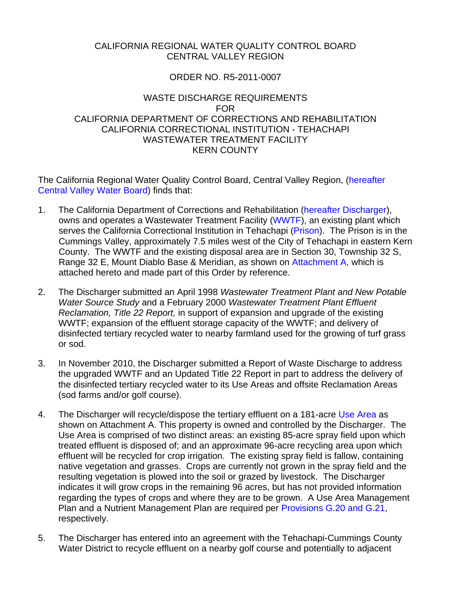### CALIFORNIA REGIONAL WATER QUALITY CONTROL BOARD CENTRAL VALLEY REGION

# ORDER NO. R5-2011-0007

#### WASTE DISCHARGE REQUIREMENTS FOR CALIFORNIA DEPARTMENT OF CORRECTIONS AND REHABILITATION CALIFORNIA CORRECTIONAL INSTITUTION - TEHACHAPI WASTEWATER TREATMENT FACILITY KERN COUNTY

The California Regional Water Quality Control Board, Central Valley Region, (hereafter Central Valley Water Board) finds that:

- 1. The California Department of Corrections and Rehabilitation (hereafter Discharger), owns and operates a Wastewater Treatment Facility (WWTF), an existing plant which serves the California Correctional Institution in Tehachapi (Prison). The Prison is in the Cummings Valley, approximately 7.5 miles west of the City of Tehachapi in eastern Kern County. The WWTF and the existing disposal area are in Section 30, Township 32 S, Range 32 E, Mount Diablo Base & Meridian, as shown on Attachment A, which is attached hereto and made part of this Order by reference.
- 2. The Discharger submitted an April 1998 *Wastewater Treatment Plant and New Potable Water Source Study* and a February 2000 *Wastewater Treatment Plant Effluent Reclamation, Title 22 Report,* in support of expansion and upgrade of the existing WWTF; expansion of the effluent storage capacity of the WWTF; and delivery of disinfected tertiary recycled water to nearby farmland used for the growing of turf grass or sod.
- 3. In November 2010, the Discharger submitted a Report of Waste Discharge to address the upgraded WWTF and an Updated Title 22 Report in part to address the delivery of the disinfected tertiary recycled water to its Use Areas and offsite Reclamation Areas (sod farms and/or golf course).
- 4. The Discharger will recycle/dispose the tertiary effluent on a 181-acre Use Area as shown on Attachment A. This property is owned and controlled by the Discharger. The Use Area is comprised of two distinct areas: an existing 85-acre spray field upon which treated effluent is disposed of; and an approximate 96-acre recycling area upon which effluent will be recycled for crop irrigation. The existing spray field is fallow, containing native vegetation and grasses. Crops are currently not grown in the spray field and the resulting vegetation is plowed into the soil or grazed by livestock. The Discharger indicates it will grow crops in the remaining 96 acres, but has not provided information regarding the types of crops and where they are to be grown. A Use Area Management Plan and a Nutrient Management Plan are required per Provisions G.20 and G.21, respectively.
- 5. The Discharger has entered into an agreement with the Tehachapi-Cummings County Water District to recycle effluent on a nearby golf course and potentially to adjacent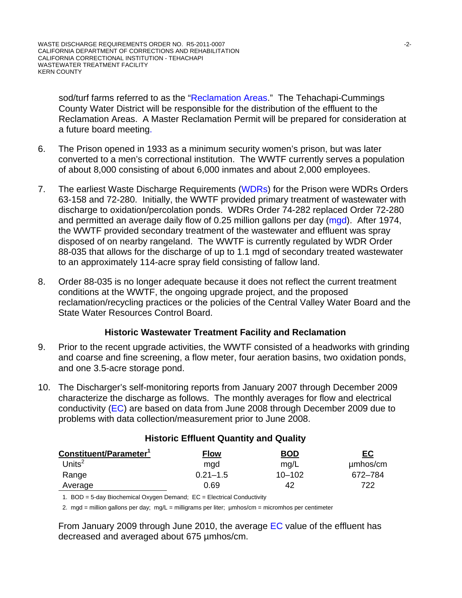sod/turf farms referred to as the "Reclamation Areas." The Tehachapi-Cummings County Water District will be responsible for the distribution of the effluent to the Reclamation Areas. A Master Reclamation Permit will be prepared for consideration at a future board meeting.

- 6. The Prison opened in 1933 as a minimum security women's prison, but was later converted to a men's correctional institution. The WWTF currently serves a population of about 8,000 consisting of about 6,000 inmates and about 2,000 employees.
- 7. The earliest Waste Discharge Requirements (WDRs) for the Prison were WDRs Orders 63-158 and 72-280. Initially, the WWTF provided primary treatment of wastewater with discharge to oxidation/percolation ponds. WDRs Order 74-282 replaced Order 72-280 and permitted an average daily flow of 0.25 million gallons per day (mgd). After 1974, the WWTF provided secondary treatment of the wastewater and effluent was spray disposed of on nearby rangeland. The WWTF is currently regulated by WDR Order 88-035 that allows for the discharge of up to 1.1 mgd of secondary treated wastewater to an approximately 114-acre spray field consisting of fallow land.
- 8. Order 88-035 is no longer adequate because it does not reflect the current treatment conditions at the WWTF, the ongoing upgrade project, and the proposed reclamation/recycling practices or the policies of the Central Valley Water Board and the State Water Resources Control Board.

### **Historic Wastewater Treatment Facility and Reclamation**

- 9. Prior to the recent upgrade activities, the WWTF consisted of a headworks with grinding and coarse and fine screening, a flow meter, four aeration basins, two oxidation ponds, and one 3.5-acre storage pond.
- 10. The Discharger's self-monitoring reports from January 2007 through December 2009 characterize the discharge as follows. The monthly averages for flow and electrical conductivity (EC) are based on data from June 2008 through December 2009 due to problems with data collection/measurement prior to June 2008.

| Constituent/Parameter <sup>1</sup> | Flow         | <b>BOD</b> | <u>EC</u> |
|------------------------------------|--------------|------------|-----------|
| Units $^2$                         | mad          | mg/L       | µmbos/cm  |
| Range                              | $0.21 - 1.5$ | $10 - 102$ | 672-784   |
| Average                            | 0.69         | 42         | 722       |
|                                    |              |            |           |

### **Historic Effluent Quantity and Quality**

1. BOD = 5-day Biochemical Oxygen Demand; EC = Electrical Conductivity

2. mgd = million gallons per day; mg/L = milligrams per liter; µmhos/cm = micromhos per centimeter

From January 2009 through June 2010, the average EC value of the effluent has decreased and averaged about 675 µmhos/cm.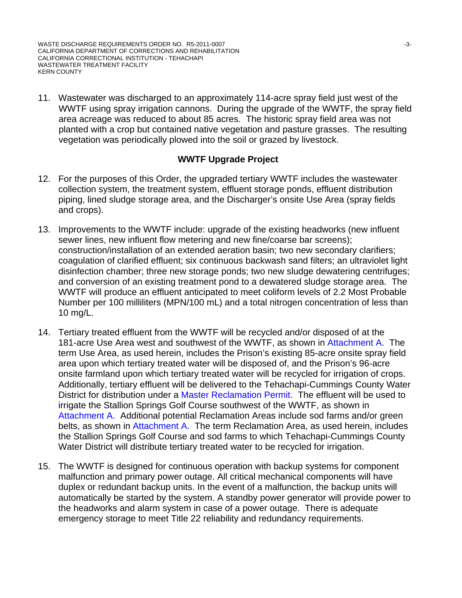11. Wastewater was discharged to an approximately 114-acre spray field just west of the WWTF using spray irrigation cannons. During the upgrade of the WWTF, the spray field area acreage was reduced to about 85 acres. The historic spray field area was not planted with a crop but contained native vegetation and pasture grasses. The resulting vegetation was periodically plowed into the soil or grazed by livestock.

### **WWTF Upgrade Project**

- 12. For the purposes of this Order, the upgraded tertiary WWTF includes the wastewater collection system, the treatment system, effluent storage ponds, effluent distribution piping, lined sludge storage area, and the Discharger's onsite Use Area (spray fields and crops).
- 13. Improvements to the WWTF include: upgrade of the existing headworks (new influent sewer lines, new influent flow metering and new fine/coarse bar screens); construction/installation of an extended aeration basin; two new secondary clarifiers; coagulation of clarified effluent; six continuous backwash sand filters; an ultraviolet light disinfection chamber; three new storage ponds; two new sludge dewatering centrifuges; and conversion of an existing treatment pond to a dewatered sludge storage area. The WWTF will produce an effluent anticipated to meet coliform levels of 2.2 Most Probable Number per 100 milliliters (MPN/100 mL) and a total nitrogen concentration of less than 10 mg/L.
- 14. Tertiary treated effluent from the WWTF will be recycled and/or disposed of at the 181-acre Use Area west and southwest of the WWTF, as shown in Attachment A. The term Use Area, as used herein, includes the Prison's existing 85-acre onsite spray field area upon which tertiary treated water will be disposed of, and the Prison's 96-acre onsite farmland upon which tertiary treated water will be recycled for irrigation of crops. Additionally, tertiary effluent will be delivered to the Tehachapi-Cummings County Water District for distribution under a Master Reclamation Permit. The effluent will be used to irrigate the Stallion Springs Golf Course southwest of the WWTF, as shown in Attachment A. Additional potential Reclamation Areas include sod farms and/or green belts, as shown in Attachment A. The term Reclamation Area, as used herein, includes the Stallion Springs Golf Course and sod farms to which Tehachapi-Cummings County Water District will distribute tertiary treated water to be recycled for irrigation.
- 15. The WWTF is designed for continuous operation with backup systems for component malfunction and primary power outage. All critical mechanical components will have duplex or redundant backup units. In the event of a malfunction, the backup units will automatically be started by the system. A standby power generator will provide power to the headworks and alarm system in case of a power outage. There is adequate emergency storage to meet Title 22 reliability and redundancy requirements.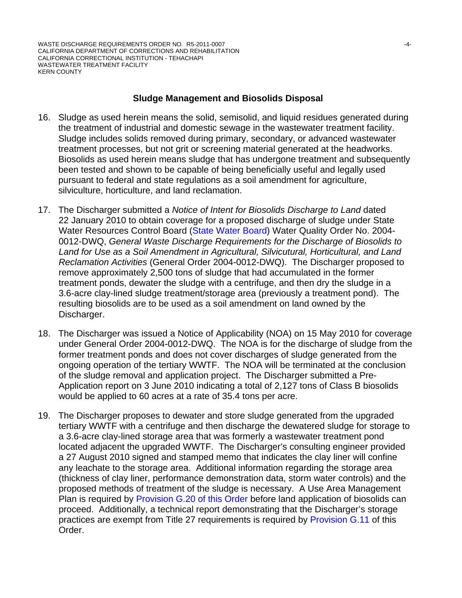### **Sludge Management and Biosolids Disposal**

- 16. Sludge as used herein means the solid, semisolid, and liquid residues generated during the treatment of industrial and domestic sewage in the wastewater treatment facility. Sludge includes solids removed during primary, secondary, or advanced wastewater treatment processes, but not grit or screening material generated at the headworks. Biosolids as used herein means sludge that has undergone treatment and subsequently been tested and shown to be capable of being beneficially useful and legally used pursuant to federal and state regulations as a soil amendment for agriculture, silviculture, horticulture, and land reclamation.
- 17. The Discharger submitted a *Notice of Intent for Biosolids Discharge to Land* dated 22 January 2010 to obtain coverage for a proposed discharge of sludge under State Water Resources Control Board (State Water Board) Water Quality Order No. 2004- 0012-DWQ, *General Waste Discharge Requirements for the Discharge of Biosolids to Land for Use as a Soil Amendment in Agricultural, Silvicutural, Horticultural, and Land Reclamation Activities* (General Order 2004-0012-DWQ). The Discharger proposed to remove approximately 2,500 tons of sludge that had accumulated in the former treatment ponds, dewater the sludge with a centrifuge, and then dry the sludge in a 3.6-acre clay-lined sludge treatment/storage area (previously a treatment pond). The resulting biosolids are to be used as a soil amendment on land owned by the Discharger.
- 18. The Discharger was issued a Notice of Applicability (NOA) on 15 May 2010 for coverage under General Order 2004-0012-DWQ. The NOA is for the discharge of sludge from the former treatment ponds and does not cover discharges of sludge generated from the ongoing operation of the tertiary WWTF. The NOA will be terminated at the conclusion of the sludge removal and application project. The Discharger submitted a Pre-Application report on 3 June 2010 indicating a total of 2,127 tons of Class B biosolids would be applied to 60 acres at a rate of 35.4 tons per acre.
- 19. The Discharger proposes to dewater and store sludge generated from the upgraded tertiary WWTF with a centrifuge and then discharge the dewatered sludge for storage to a 3.6-acre clay-lined storage area that was formerly a wastewater treatment pond located adjacent the upgraded WWTF. The Discharger's consulting engineer provided a 27 August 2010 signed and stamped memo that indicates the clay liner will confine any leachate to the storage area. Additional information regarding the storage area (thickness of clay liner, performance demonstration data, storm water controls) and the proposed methods of treatment of the sludge is necessary. A Use Area Management Plan is required by Provision G.20 of this Order before land application of biosolids can proceed. Additionally, a technical report demonstrating that the Discharger's storage practices are exempt from Title 27 requirements is required by Provision G.11 of this Order.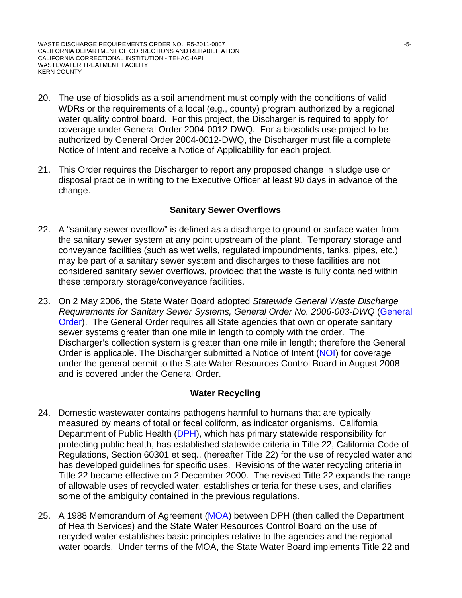WASTE DISCHARGE REQUIREMENTS ORDER NO. R5-2011-0007 NO. 15-10007 CALIFORNIA DEPARTMENT OF CORRECTIONS AND REHABILITATION CALIFORNIA CORRECTIONAL INSTITUTION - TEHACHAPI WASTEWATER TREATMENT FACILITY KERN COUNTY

- 20. The use of biosolids as a soil amendment must comply with the conditions of valid WDRs or the requirements of a local (e.g., county) program authorized by a regional water quality control board. For this project, the Discharger is required to apply for coverage under General Order 2004-0012-DWQ. For a biosolids use project to be authorized by General Order 2004-0012-DWQ, the Discharger must file a complete Notice of Intent and receive a Notice of Applicability for each project.
- 21. This Order requires the Discharger to report any proposed change in sludge use or disposal practice in writing to the Executive Officer at least 90 days in advance of the change.

#### **Sanitary Sewer Overflows**

- 22. A "sanitary sewer overflow" is defined as a discharge to ground or surface water from the sanitary sewer system at any point upstream of the plant. Temporary storage and conveyance facilities (such as wet wells, regulated impoundments, tanks, pipes, etc.) may be part of a sanitary sewer system and discharges to these facilities are not considered sanitary sewer overflows, provided that the waste is fully contained within these temporary storage/conveyance facilities.
- 23. On 2 May 2006, the State Water Board adopted *Statewide General Waste Discharge Requirements for Sanitary Sewer Systems, General Order No. 2006-003-DWQ* (General Order). The General Order requires all State agencies that own or operate sanitary sewer systems greater than one mile in length to comply with the order. The Discharger's collection system is greater than one mile in length; therefore the General Order is applicable. The Discharger submitted a Notice of Intent (NOI) for coverage under the general permit to the State Water Resources Control Board in August 2008 and is covered under the General Order.

#### **Water Recycling**

- 24. Domestic wastewater contains pathogens harmful to humans that are typically measured by means of total or fecal coliform, as indicator organisms. California Department of Public Health (DPH), which has primary statewide responsibility for protecting public health, has established statewide criteria in Title 22, California Code of Regulations, Section 60301 et seq., (hereafter Title 22) for the use of recycled water and has developed guidelines for specific uses. Revisions of the water recycling criteria in Title 22 became effective on 2 December 2000. The revised Title 22 expands the range of allowable uses of recycled water, establishes criteria for these uses, and clarifies some of the ambiguity contained in the previous regulations.
- 25. A 1988 Memorandum of Agreement (MOA) between DPH (then called the Department of Health Services) and the State Water Resources Control Board on the use of recycled water establishes basic principles relative to the agencies and the regional water boards. Under terms of the MOA, the State Water Board implements Title 22 and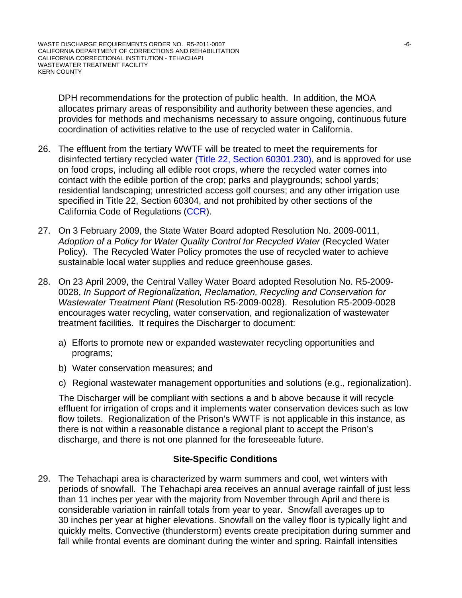DPH recommendations for the protection of public health. In addition, the MOA allocates primary areas of responsibility and authority between these agencies, and provides for methods and mechanisms necessary to assure ongoing, continuous future coordination of activities relative to the use of recycled water in California.

- 26. The effluent from the tertiary WWTF will be treated to meet the requirements for disinfected tertiary recycled water (Title 22, Section 60301.230), and is approved for use on food crops, including all edible root crops, where the recycled water comes into contact with the edible portion of the crop; parks and playgrounds; school yards; residential landscaping; unrestricted access golf courses; and any other irrigation use specified in Title 22, Section 60304, and not prohibited by other sections of the California Code of Regulations (CCR).
- 27. On 3 February 2009, the State Water Board adopted Resolution No. 2009-0011, Adoption of a Policy for Water Quality Control for Recycled Water (Recycled Water Policy). The Recycled Water Policy promotes the use of recycled water to achieve sustainable local water supplies and reduce greenhouse gases.
- 28. On 23 April 2009, the Central Valley Water Board adopted Resolution No. R5-2009- 0028, *In Support of Regionalization, Reclamation, Recycling and Conservation for Wastewater Treatment Plant* (Resolution R5-2009-0028). Resolution R5-2009-0028 encourages water recycling, water conservation, and regionalization of wastewater treatment facilities. It requires the Discharger to document:
	- a) Efforts to promote new or expanded wastewater recycling opportunities and programs;
	- b) Water conservation measures; and
	- c) Regional wastewater management opportunities and solutions (e.g., regionalization).

The Discharger will be compliant with sections a and b above because it will recycle effluent for irrigation of crops and it implements water conservation devices such as low flow toilets. Regionalization of the Prison's WWTF is not applicable in this instance, as there is not within a reasonable distance a regional plant to accept the Prison's discharge, and there is not one planned for the foreseeable future.

### **Site-Specific Conditions**

29. The Tehachapi area is characterized by warm summers and cool, wet winters with periods of snowfall. The Tehachapi area receives an annual average rainfall of just less than 11 inches per year with the majority from November through April and there is considerable variation in rainfall totals from year to year. Snowfall averages up to 30 inches per year at higher elevations. Snowfall on the valley floor is typically light and quickly melts. Convective (thunderstorm) events create precipitation during summer and fall while frontal events are dominant during the winter and spring. Rainfall intensities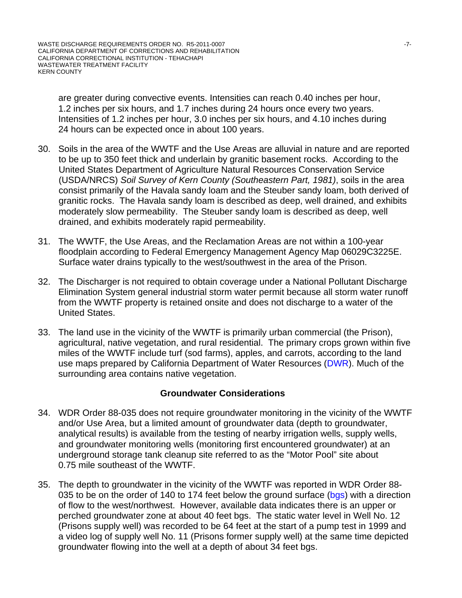are greater during convective events. Intensities can reach 0.40 inches per hour, 1.2 inches per six hours, and 1.7 inches during 24 hours once every two years. Intensities of 1.2 inches per hour, 3.0 inches per six hours, and 4.10 inches during 24 hours can be expected once in about 100 years.

- 30. Soils in the area of the WWTF and the Use Areas are alluvial in nature and are reported to be up to 350 feet thick and underlain by granitic basement rocks. According to the United States Department of Agriculture Natural Resources Conservation Service (USDA/NRCS) *Soil Survey of Kern County (Southeastern Part, 1981)*, soils in the area consist primarily of the Havala sandy loam and the Steuber sandy loam, both derived of granitic rocks. The Havala sandy loam is described as deep, well drained, and exhibits moderately slow permeability. The Steuber sandy loam is described as deep, well drained, and exhibits moderately rapid permeability.
- 31. The WWTF, the Use Areas, and the Reclamation Areas are not within a 100-year floodplain according to Federal Emergency Management Agency Map 06029C3225E. Surface water drains typically to the west/southwest in the area of the Prison.
- 32. The Discharger is not required to obtain coverage under a National Pollutant Discharge Elimination System general industrial storm water permit because all storm water runoff from the WWTF property is retained onsite and does not discharge to a water of the United States.
- 33. The land use in the vicinity of the WWTF is primarily urban commercial (the Prison), agricultural, native vegetation, and rural residential. The primary crops grown within five miles of the WWTF include turf (sod farms), apples, and carrots, according to the land use maps prepared by California Department of Water Resources (DWR). Much of the surrounding area contains native vegetation.

#### **Groundwater Considerations**

- 34. WDR Order 88-035 does not require groundwater monitoring in the vicinity of the WWTF and/or Use Area, but a limited amount of groundwater data (depth to groundwater, analytical results) is available from the testing of nearby irrigation wells, supply wells, and groundwater monitoring wells (monitoring first encountered groundwater) at an underground storage tank cleanup site referred to as the "Motor Pool" site about 0.75 mile southeast of the WWTF.
- 35. The depth to groundwater in the vicinity of the WWTF was reported in WDR Order 88- 035 to be on the order of 140 to 174 feet below the ground surface (bgs) with a direction of flow to the west/northwest. However, available data indicates there is an upper or perched groundwater zone at about 40 feet bgs. The static water level in Well No. 12 (Prisons supply well) was recorded to be 64 feet at the start of a pump test in 1999 and a video log of supply well No. 11 (Prisons former supply well) at the same time depicted groundwater flowing into the well at a depth of about 34 feet bgs.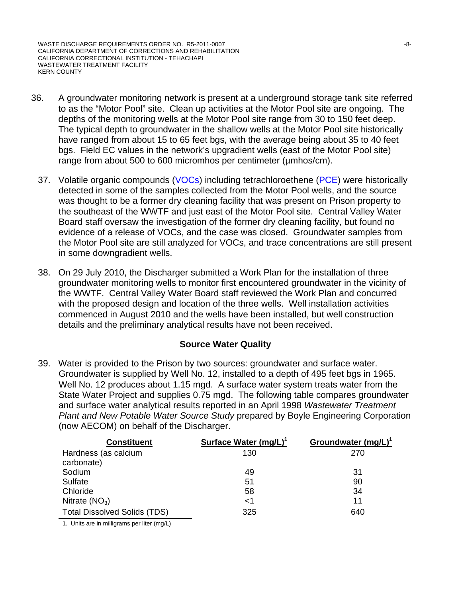WASTE DISCHARGE REQUIREMENTS ORDER NO. R5-2011-0007 NORTH SALL ASSESSED FOR A SAMPLE ASSESSED FOR A SALL ASSESSED FOR A SALL ASSESSED FOR A SALL ASSESSED FOR A SALL ASSESSED FOR A SALL ASSESSED FOR A SALL ASSESSED FOR A SA CALIFORNIA DEPARTMENT OF CORRECTIONS AND REHABILITATION CALIFORNIA CORRECTIONAL INSTITUTION - TEHACHAPI WASTEWATER TREATMENT FACILITY KERN COUNTY

- 36. A groundwater monitoring network is present at a underground storage tank site referred to as the "Motor Pool" site. Clean up activities at the Motor Pool site are ongoing. The depths of the monitoring wells at the Motor Pool site range from 30 to 150 feet deep. The typical depth to groundwater in the shallow wells at the Motor Pool site historically have ranged from about 15 to 65 feet bgs, with the average being about 35 to 40 feet bgs. Field EC values in the network's upgradient wells (east of the Motor Pool site) range from about 500 to 600 micromhos per centimeter (umhos/cm).
	- 37. Volatile organic compounds (VOCs) including tetrachloroethene (PCE) were historically detected in some of the samples collected from the Motor Pool wells, and the source was thought to be a former dry cleaning facility that was present on Prison property to the southeast of the WWTF and just east of the Motor Pool site. Central Valley Water Board staff oversaw the investigation of the former dry cleaning facility, but found no evidence of a release of VOCs, and the case was closed. Groundwater samples from the Motor Pool site are still analyzed for VOCs, and trace concentrations are still present in some downgradient wells.
	- 38. On 29 July 2010, the Discharger submitted a Work Plan for the installation of three groundwater monitoring wells to monitor first encountered groundwater in the vicinity of the WWTF. Central Valley Water Board staff reviewed the Work Plan and concurred with the proposed design and location of the three wells. Well installation activities commenced in August 2010 and the wells have been installed, but well construction details and the preliminary analytical results have not been received.

### **Source Water Quality**

39. Water is provided to the Prison by two sources: groundwater and surface water. Groundwater is supplied by Well No. 12, installed to a depth of 495 feet bgs in 1965. Well No. 12 produces about 1.15 mgd. A surface water system treats water from the State Water Project and supplies 0.75 mgd. The following table compares groundwater and surface water analytical results reported in an April 1998 *Wastewater Treatment Plant and New Potable Water Source Study* prepared by Boyle Engineering Corporation (now AECOM) on behalf of the Discharger.

| <b>Constituent</b>                  | Surface Water (mg/L) <sup>1</sup> | Groundwater $(mg/L)^1$ |
|-------------------------------------|-----------------------------------|------------------------|
| Hardness (as calcium<br>carbonate)  | 130                               | 270                    |
| Sodium                              | 49                                | 31                     |
| Sulfate                             | 51                                | 90                     |
| Chloride                            | 58                                | 34                     |
| Nitrate $(NO3)$                     | <1                                | 11                     |
| <b>Total Dissolved Solids (TDS)</b> | 325                               | 640                    |

1. Units are in milligrams per liter (mg/L)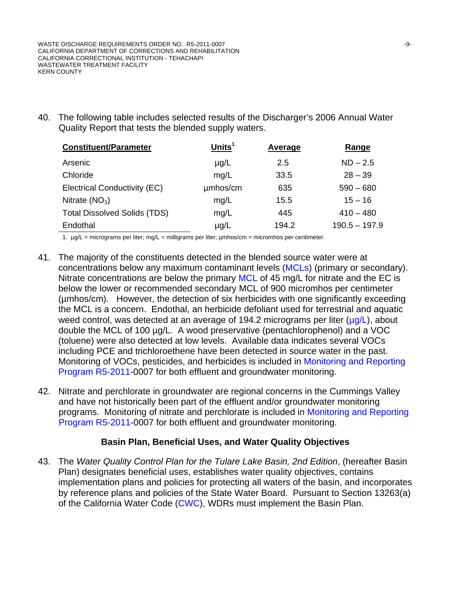40. The following table includes selected results of the Discharger's 2006 Annual Water Quality Report that tests the blended supply waters.

| <b>Constituent/Parameter</b>        | Units $1$ | <b>Average</b> | Range           |
|-------------------------------------|-----------|----------------|-----------------|
| Arsenic                             | $\mu$ g/L | 2.5            | $ND - 2.5$      |
| Chloride                            | mg/L      | 33.5           | $28 - 39$       |
| Electrical Conductivity (EC)        | umhos/cm  | 635            | $590 - 680$     |
| Nitrate $(NO3)$                     | mg/L      | 15.5           | $15 - 16$       |
| <b>Total Dissolved Solids (TDS)</b> | mg/L      | 445            | $410 - 480$     |
| Endothal                            | $\mu$ g/L | 194.2          | $190.5 - 197.9$ |

1.  $\mu$ g/L = micrograms per liter; mg/L = milligrams per liter;  $\mu$ mhos/cm = micromhos per centimeter.

- 41. The majority of the constituents detected in the blended source water were at concentrations below any maximum contaminant levels (MCLs) (primary or secondary). Nitrate concentrations are below the primary MCL of 45 mg/L for nitrate and the EC is below the lower or recommended secondary MCL of 900 micromhos per centimeter (µmhos/cm). However, the detection of six herbicides with one significantly exceeding the MCL is a concern. Endothal, an herbicide defoliant used for terrestrial and aquatic weed control, was detected at an average of 194.2 micrograms per liter  $(\mu q/L)$ , about double the MCL of 100 µg/L. A wood preservative (pentachlorophenol) and a VOC (toluene) were also detected at low levels. Available data indicates several VOCs including PCE and trichloroethene have been detected in source water in the past. Monitoring of VOCs, pesticides, and herbicides is included in Monitoring and Reporting Program R5-2011-0007 for both effluent and groundwater monitoring.
- 42. Nitrate and perchlorate in groundwater are regional concerns in the Cummings Valley and have not historically been part of the effluent and/or groundwater monitoring programs. Monitoring of nitrate and perchlorate is included in Monitoring and Reporting Program R5-2011-0007 for both effluent and groundwater monitoring.

# **Basin Plan, Beneficial Uses, and Water Quality Objectives**

43. The *Water Quality Control Plan for the Tulare Lake Basin, 2nd Edition*, (hereafter Basin Plan) designates beneficial uses, establishes water quality objectives, contains implementation plans and policies for protecting all waters of the basin, and incorporates by reference plans and policies of the State Water Board. Pursuant to Section 13263(a) of the California Water Code (CWC), WDRs must implement the Basin Plan.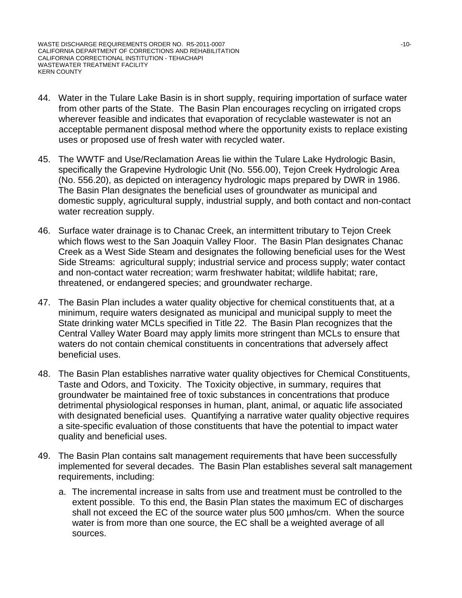- 44. Water in the Tulare Lake Basin is in short supply, requiring importation of surface water from other parts of the State. The Basin Plan encourages recycling on irrigated crops wherever feasible and indicates that evaporation of recyclable wastewater is not an acceptable permanent disposal method where the opportunity exists to replace existing uses or proposed use of fresh water with recycled water.
- 45. The WWTF and Use/Reclamation Areas lie within the Tulare Lake Hydrologic Basin, specifically the Grapevine Hydrologic Unit (No. 556.00), Tejon Creek Hydrologic Area (No. 556.20), as depicted on interagency hydrologic maps prepared by DWR in 1986. The Basin Plan designates the beneficial uses of groundwater as municipal and domestic supply, agricultural supply, industrial supply, and both contact and non-contact water recreation supply.
- 46. Surface water drainage is to Chanac Creek, an intermittent tributary to Tejon Creek which flows west to the San Joaquin Valley Floor. The Basin Plan designates Chanac Creek as a West Side Steam and designates the following beneficial uses for the West Side Streams: agricultural supply; industrial service and process supply; water contact and non-contact water recreation; warm freshwater habitat; wildlife habitat; rare, threatened, or endangered species; and groundwater recharge.
- 47. The Basin Plan includes a water quality objective for chemical constituents that, at a minimum, require waters designated as municipal and municipal supply to meet the State drinking water MCLs specified in Title 22. The Basin Plan recognizes that the Central Valley Water Board may apply limits more stringent than MCLs to ensure that waters do not contain chemical constituents in concentrations that adversely affect beneficial uses.
- 48. The Basin Plan establishes narrative water quality objectives for Chemical Constituents, Taste and Odors, and Toxicity. The Toxicity objective, in summary, requires that groundwater be maintained free of toxic substances in concentrations that produce detrimental physiological responses in human, plant, animal, or aquatic life associated with designated beneficial uses. Quantifying a narrative water quality objective requires a site-specific evaluation of those constituents that have the potential to impact water quality and beneficial uses.
- 49. The Basin Plan contains salt management requirements that have been successfully implemented for several decades. The Basin Plan establishes several salt management requirements, including:
	- a. The incremental increase in salts from use and treatment must be controlled to the extent possible. To this end, the Basin Plan states the maximum EC of discharges shall not exceed the EC of the source water plus 500 µmhos/cm. When the source water is from more than one source, the EC shall be a weighted average of all sources.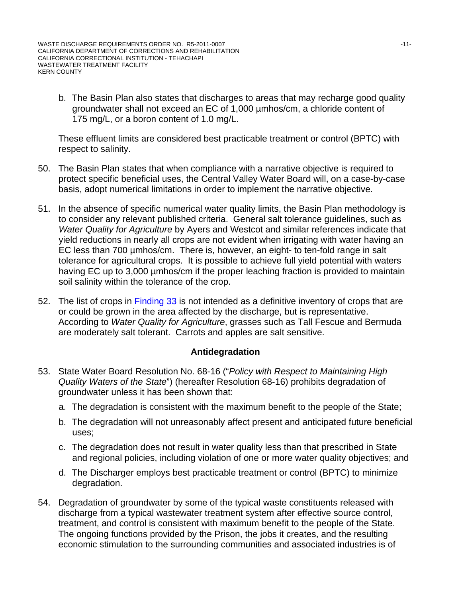b. The Basin Plan also states that discharges to areas that may recharge good quality groundwater shall not exceed an EC of 1,000 µmhos/cm, a chloride content of 175 mg/L, or a boron content of 1.0 mg/L.

These effluent limits are considered best practicable treatment or control (BPTC) with respect to salinity.

- 50. The Basin Plan states that when compliance with a narrative objective is required to protect specific beneficial uses, the Central Valley Water Board will, on a case-by-case basis, adopt numerical limitations in order to implement the narrative objective.
- 51. In the absence of specific numerical water quality limits, the Basin Plan methodology is to consider any relevant published criteria. General salt tolerance guidelines, such as *Water Quality for Agriculture* by Ayers and Westcot and similar references indicate that yield reductions in nearly all crops are not evident when irrigating with water having an EC less than 700 µmhos/cm. There is, however, an eight- to ten-fold range in salt tolerance for agricultural crops. It is possible to achieve full yield potential with waters having EC up to 3,000 umhos/cm if the proper leaching fraction is provided to maintain soil salinity within the tolerance of the crop.
- 52. The list of crops in Finding 33 is not intended as a definitive inventory of crops that are or could be grown in the area affected by the discharge, but is representative. According to *Water Quality for Agriculture*, grasses such as Tall Fescue and Bermuda are moderately salt tolerant. Carrots and apples are salt sensitive.

### **Antidegradation**

- 53. State Water Board Resolution No. 68-16 ("*Policy with Respect to Maintaining High Quality Waters of the State*") (hereafter Resolution 68-16) prohibits degradation of groundwater unless it has been shown that:
	- a. The degradation is consistent with the maximum benefit to the people of the State;
	- b. The degradation will not unreasonably affect present and anticipated future beneficial uses;
	- c. The degradation does not result in water quality less than that prescribed in State and regional policies, including violation of one or more water quality objectives; and
	- d. The Discharger employs best practicable treatment or control (BPTC) to minimize degradation.
- 54. Degradation of groundwater by some of the typical waste constituents released with discharge from a typical wastewater treatment system after effective source control, treatment, and control is consistent with maximum benefit to the people of the State. The ongoing functions provided by the Prison, the jobs it creates, and the resulting economic stimulation to the surrounding communities and associated industries is of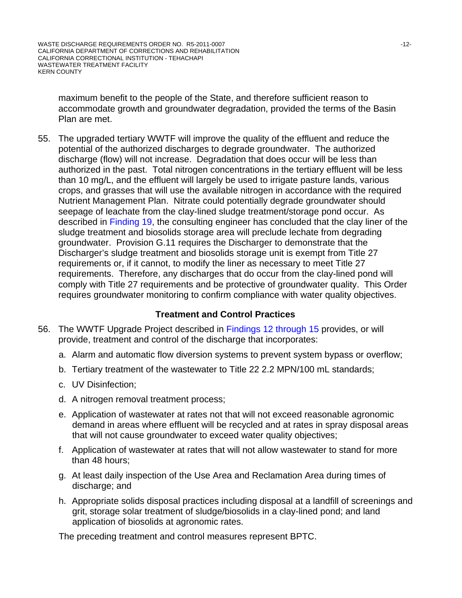maximum benefit to the people of the State, and therefore sufficient reason to accommodate growth and groundwater degradation, provided the terms of the Basin Plan are met.

55. The upgraded tertiary WWTF will improve the quality of the effluent and reduce the potential of the authorized discharges to degrade groundwater. The authorized discharge (flow) will not increase. Degradation that does occur will be less than authorized in the past. Total nitrogen concentrations in the tertiary effluent will be less than 10 mg/L, and the effluent will largely be used to irrigate pasture lands, various crops, and grasses that will use the available nitrogen in accordance with the required Nutrient Management Plan. Nitrate could potentially degrade groundwater should seepage of leachate from the clay-lined sludge treatment/storage pond occur. As described in Finding 19, the consulting engineer has concluded that the clay liner of the sludge treatment and biosolids storage area will preclude lechate from degrading groundwater. Provision G.11 requires the Discharger to demonstrate that the Discharger's sludge treatment and biosolids storage unit is exempt from Title 27 requirements or, if it cannot, to modify the liner as necessary to meet Title 27 requirements. Therefore, any discharges that do occur from the clay-lined pond will comply with Title 27 requirements and be protective of groundwater quality. This Order requires groundwater monitoring to confirm compliance with water quality objectives.

### **Treatment and Control Practices**

- 56. The WWTF Upgrade Project described in Findings 12 through 15 provides, or will provide, treatment and control of the discharge that incorporates:
	- a. Alarm and automatic flow diversion systems to prevent system bypass or overflow;
	- b. Tertiary treatment of the wastewater to Title 22 2.2 MPN/100 mL standards;
	- c. UV Disinfection;
	- d. A nitrogen removal treatment process;
	- e. Application of wastewater at rates not that will not exceed reasonable agronomic demand in areas where effluent will be recycled and at rates in spray disposal areas that will not cause groundwater to exceed water quality objectives;
	- f. Application of wastewater at rates that will not allow wastewater to stand for more than 48 hours;
	- g. At least daily inspection of the Use Area and Reclamation Area during times of discharge; and
	- h. Appropriate solids disposal practices including disposal at a landfill of screenings and grit, storage solar treatment of sludge/biosolids in a clay-lined pond; and land application of biosolids at agronomic rates.

The preceding treatment and control measures represent BPTC.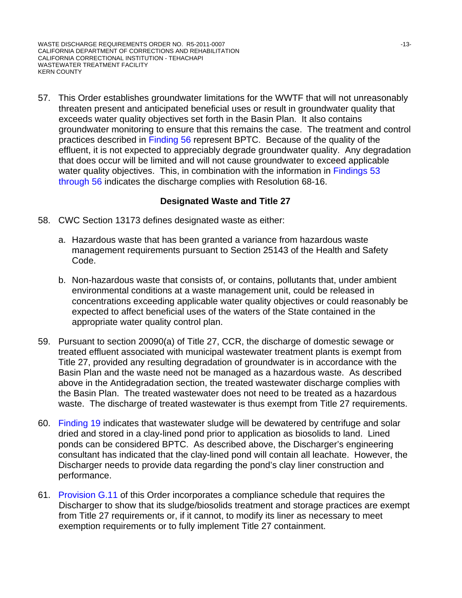WASTE DISCHARGE REQUIREMENTS ORDER NO. R5-2011-0007 NO. 13-13-13-13-13-13-13-13-CALIFORNIA DEPARTMENT OF CORRECTIONS AND REHABILITATION CALIFORNIA CORRECTIONAL INSTITUTION - TEHACHAPI WASTEWATER TREATMENT FACILITY KERN COUNTY

57. This Order establishes groundwater limitations for the WWTF that will not unreasonably threaten present and anticipated beneficial uses or result in groundwater quality that exceeds water quality objectives set forth in the Basin Plan. It also contains groundwater monitoring to ensure that this remains the case. The treatment and control practices described in Finding 56 represent BPTC. Because of the quality of the effluent, it is not expected to appreciably degrade groundwater quality. Any degradation that does occur will be limited and will not cause groundwater to exceed applicable water quality objectives. This, in combination with the information in Findings 53 through 56 indicates the discharge complies with Resolution 68-16.

### **Designated Waste and Title 27**

- 58. CWC Section 13173 defines designated waste as either:
	- a. Hazardous waste that has been granted a variance from hazardous waste management requirements pursuant to Section 25143 of the Health and Safety Code.
	- b. Non-hazardous waste that consists of, or contains, pollutants that, under ambient environmental conditions at a waste management unit, could be released in concentrations exceeding applicable water quality objectives or could reasonably be expected to affect beneficial uses of the waters of the State contained in the appropriate water quality control plan.
- 59. Pursuant to section 20090(a) of Title 27, CCR, the discharge of domestic sewage or treated effluent associated with municipal wastewater treatment plants is exempt from Title 27, provided any resulting degradation of groundwater is in accordance with the Basin Plan and the waste need not be managed as a hazardous waste. As described above in the Antidegradation section, the treated wastewater discharge complies with the Basin Plan. The treated wastewater does not need to be treated as a hazardous waste. The discharge of treated wastewater is thus exempt from Title 27 requirements.
- 60. Finding 19 indicates that wastewater sludge will be dewatered by centrifuge and solar dried and stored in a clay-lined pond prior to application as biosolids to land. Lined ponds can be considered BPTC. As described above, the Discharger's engineering consultant has indicated that the clay-lined pond will contain all leachate. However, the Discharger needs to provide data regarding the pond's clay liner construction and performance.
- 61. Provision G.11 of this Order incorporates a compliance schedule that requires the Discharger to show that its sludge/biosolids treatment and storage practices are exempt from Title 27 requirements or, if it cannot, to modify its liner as necessary to meet exemption requirements or to fully implement Title 27 containment.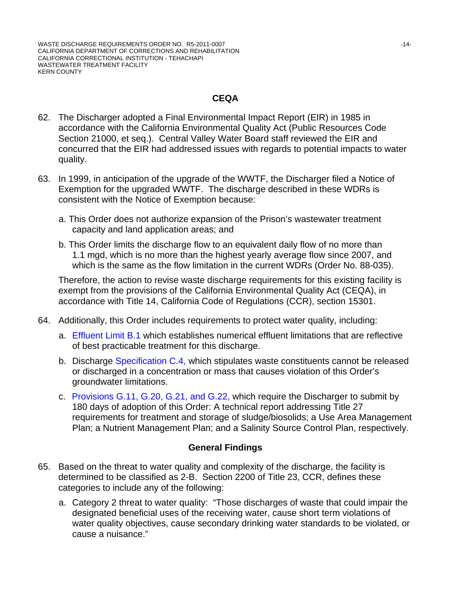# **CEQA**

- 62. The Discharger adopted a Final Environmental Impact Report (EIR) in 1985 in accordance with the California Environmental Quality Act (Public Resources Code Section 21000, et seq.). Central Valley Water Board staff reviewed the EIR and concurred that the EIR had addressed issues with regards to potential impacts to water quality.
- 63. In 1999, in anticipation of the upgrade of the WWTF, the Discharger filed a Notice of Exemption for the upgraded WWTF. The discharge described in these WDRs is consistent with the Notice of Exemption because:
	- a. This Order does not authorize expansion of the Prison's wastewater treatment capacity and land application areas; and
	- b. This Order limits the discharge flow to an equivalent daily flow of no more than 1.1 mgd, which is no more than the highest yearly average flow since 2007, and which is the same as the flow limitation in the current WDRs (Order No. 88-035).

Therefore, the action to revise waste discharge requirements for this existing facility is exempt from the provisions of the California Environmental Quality Act (CEQA), in accordance with Title 14, California Code of Regulations (CCR), section 15301.

- 64. Additionally, this Order includes requirements to protect water quality, including:
	- a. Effluent Limit B.1 which establishes numerical effluent limitations that are reflective of best practicable treatment for this discharge.
	- b. Discharge Specification C.4, which stipulates waste constituents cannot be released or discharged in a concentration or mass that causes violation of this Order's groundwater limitations.
	- c. Provisions G.11, G.20, G.21, and G.22, which require the Discharger to submit by 180 days of adoption of this Order: A technical report addressing Title 27 requirements for treatment and storage of sludge/biosolids; a Use Area Management Plan; a Nutrient Management Plan; and a Salinity Source Control Plan, respectively.

# **General Findings**

- 65. Based on the threat to water quality and complexity of the discharge, the facility is determined to be classified as 2-B. Section 2200 of Title 23, CCR, defines these categories to include any of the following:
	- a. Category 2 threat to water quality: "Those discharges of waste that could impair the designated beneficial uses of the receiving water, cause short term violations of water quality objectives, cause secondary drinking water standards to be violated, or cause a nuisance."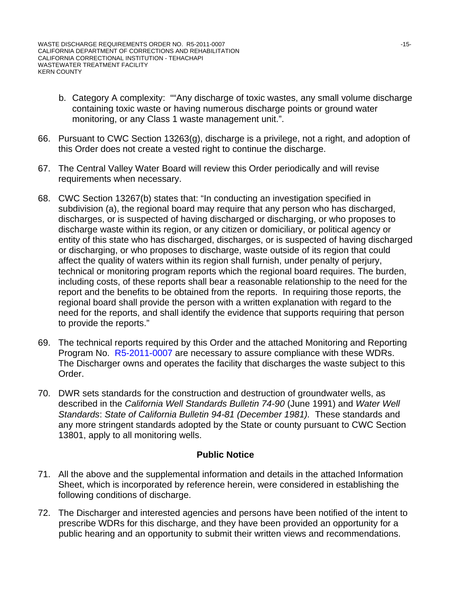- b. Category A complexity: ""Any discharge of toxic wastes, any small volume discharge containing toxic waste or having numerous discharge points or ground water monitoring, or any Class 1 waste management unit.".
- 66. Pursuant to CWC Section 13263(g), discharge is a privilege, not a right, and adoption of this Order does not create a vested right to continue the discharge.
- 67. The Central Valley Water Board will review this Order periodically and will revise requirements when necessary.
- 68. CWC Section 13267(b) states that: "In conducting an investigation specified in subdivision (a), the regional board may require that any person who has discharged, discharges, or is suspected of having discharged or discharging, or who proposes to discharge waste within its region, or any citizen or domiciliary, or political agency or entity of this state who has discharged, discharges, or is suspected of having discharged or discharging, or who proposes to discharge, waste outside of its region that could affect the quality of waters within its region shall furnish, under penalty of perjury, technical or monitoring program reports which the regional board requires. The burden, including costs, of these reports shall bear a reasonable relationship to the need for the report and the benefits to be obtained from the reports. In requiring those reports, the regional board shall provide the person with a written explanation with regard to the need for the reports, and shall identify the evidence that supports requiring that person to provide the reports."
- 69. The technical reports required by this Order and the attached Monitoring and Reporting Program No. R5-2011-0007 are necessary to assure compliance with these WDRs. The Discharger owns and operates the facility that discharges the waste subject to this Order.
- 70. DWR sets standards for the construction and destruction of groundwater wells, as described in the *California Well Standards Bulletin 74-90* (June 1991) and *Water Well Standards*: *State of California Bulletin 94-81 (December 1981).* These standards and any more stringent standards adopted by the State or county pursuant to CWC Section 13801, apply to all monitoring wells.

### **Public Notice**

- 71. All the above and the supplemental information and details in the attached Information Sheet, which is incorporated by reference herein, were considered in establishing the following conditions of discharge.
- 72. The Discharger and interested agencies and persons have been notified of the intent to prescribe WDRs for this discharge, and they have been provided an opportunity for a public hearing and an opportunity to submit their written views and recommendations.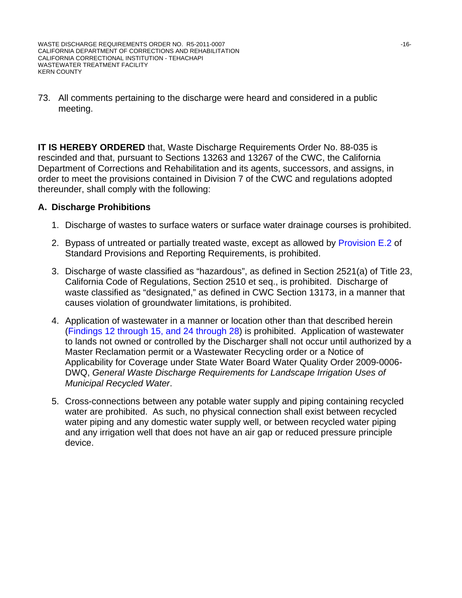WASTE DISCHARGE REQUIREMENTS ORDER NO. R5-2011-0007 NO. 10-10007 NO. 10-16-16-16-CALIFORNIA DEPARTMENT OF CORRECTIONS AND REHABILITATION CALIFORNIA CORRECTIONAL INSTITUTION - TEHACHAPI WASTEWATER TREATMENT FACILITY KERN COUNTY

#### 73. All comments pertaining to the discharge were heard and considered in a public meeting.

**IT IS HEREBY ORDERED** that, Waste Discharge Requirements Order No. 88-035 is rescinded and that, pursuant to Sections 13263 and 13267 of the CWC, the California Department of Corrections and Rehabilitation and its agents, successors, and assigns, in order to meet the provisions contained in Division 7 of the CWC and regulations adopted thereunder, shall comply with the following:

### **A. Discharge Prohibitions**

- 1. Discharge of wastes to surface waters or surface water drainage courses is prohibited.
- 2. Bypass of untreated or partially treated waste, except as allowed by Provision E.2 of Standard Provisions and Reporting Requirements, is prohibited.
- 3. Discharge of waste classified as "hazardous", as defined in Section 2521(a) of Title 23, California Code of Regulations, Section 2510 et seq., is prohibited. Discharge of waste classified as "designated," as defined in CWC Section 13173, in a manner that causes violation of groundwater limitations, is prohibited.
- 4. Application of wastewater in a manner or location other than that described herein (Findings 12 through 15, and 24 through 28) is prohibited. Application of wastewater to lands not owned or controlled by the Discharger shall not occur until authorized by a Master Reclamation permit or a Wastewater Recycling order or a Notice of Applicability for Coverage under State Water Board Water Quality Order 2009-0006- DWQ, *General Waste Discharge Requirements for Landscape Irrigation Uses of Municipal Recycled Water*.
- 5. Cross-connections between any potable water supply and piping containing recycled water are prohibited. As such, no physical connection shall exist between recycled water piping and any domestic water supply well, or between recycled water piping and any irrigation well that does not have an air gap or reduced pressure principle device.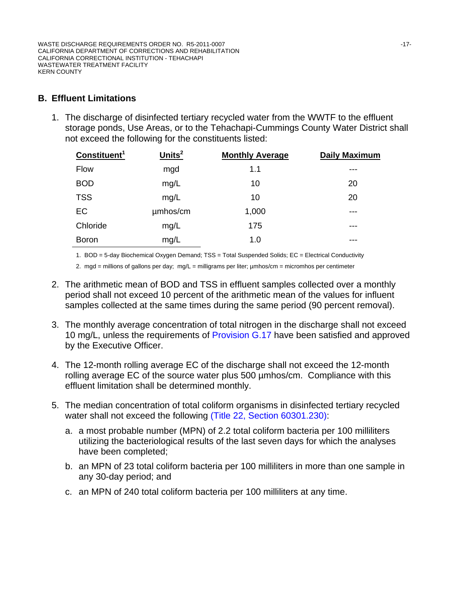# **B. Effluent Limitations**

1. The discharge of disinfected tertiary recycled water from the WWTF to the effluent storage ponds, Use Areas, or to the Tehachapi-Cummings County Water District shall not exceed the following for the constituents listed:

| Constituent <sup>1</sup> | $Units2$ | <b>Monthly Average</b> | <b>Daily Maximum</b> |
|--------------------------|----------|------------------------|----------------------|
| <b>Flow</b>              | mgd      | 1.1                    | ---                  |
| <b>BOD</b>               | mg/L     | 10                     | 20                   |
| <b>TSS</b>               | mg/L     | 10                     | 20                   |
| EC                       | umhos/cm | 1,000                  | ---                  |
| Chloride                 | mg/L     | 175                    | ---                  |
| <b>Boron</b>             | mg/L     | 1.0                    | ---                  |

1. BOD = 5-day Biochemical Oxygen Demand; TSS = Total Suspended Solids; EC = Electrical Conductivity

2. mgd = millions of gallons per day; mg/L = milligrams per liter; µmhos/cm = micromhos per centimeter

- 2. The arithmetic mean of BOD and TSS in effluent samples collected over a monthly period shall not exceed 10 percent of the arithmetic mean of the values for influent samples collected at the same times during the same period (90 percent removal).
- 3. The monthly average concentration of total nitrogen in the discharge shall not exceed 10 mg/L, unless the requirements of Provision G.17 have been satisfied and approved by the Executive Officer.
- 4. The 12-month rolling average EC of the discharge shall not exceed the 12-month rolling average EC of the source water plus 500 µmhos/cm. Compliance with this effluent limitation shall be determined monthly.
- 5. The median concentration of total coliform organisms in disinfected tertiary recycled water shall not exceed the following (Title 22, Section 60301.230):
	- a. a most probable number (MPN) of 2.2 total coliform bacteria per 100 milliliters utilizing the bacteriological results of the last seven days for which the analyses have been completed;
	- b. an MPN of 23 total coliform bacteria per 100 milliliters in more than one sample in any 30-day period; and
	- c. an MPN of 240 total coliform bacteria per 100 milliliters at any time.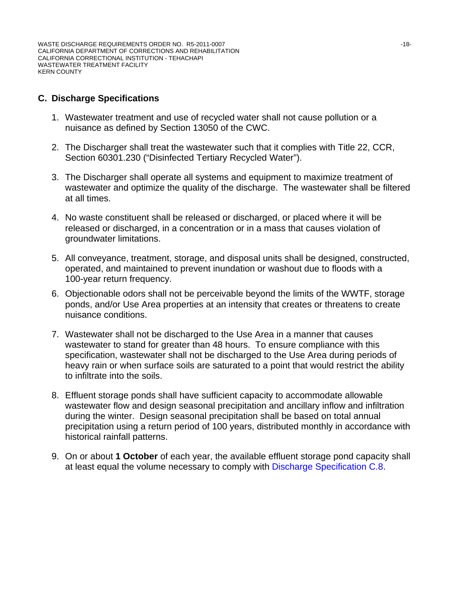# **C. Discharge Specifications**

- 1. Wastewater treatment and use of recycled water shall not cause pollution or a nuisance as defined by Section 13050 of the CWC.
- 2. The Discharger shall treat the wastewater such that it complies with Title 22, CCR, Section 60301.230 ("Disinfected Tertiary Recycled Water").
- 3. The Discharger shall operate all systems and equipment to maximize treatment of wastewater and optimize the quality of the discharge. The wastewater shall be filtered at all times.
- 4. No waste constituent shall be released or discharged, or placed where it will be released or discharged, in a concentration or in a mass that causes violation of groundwater limitations.
- 5. All conveyance, treatment, storage, and disposal units shall be designed, constructed, operated, and maintained to prevent inundation or washout due to floods with a 100-year return frequency.
- 6. Objectionable odors shall not be perceivable beyond the limits of the WWTF, storage ponds, and/or Use Area properties at an intensity that creates or threatens to create nuisance conditions.
- 7. Wastewater shall not be discharged to the Use Area in a manner that causes wastewater to stand for greater than 48 hours. To ensure compliance with this specification, wastewater shall not be discharged to the Use Area during periods of heavy rain or when surface soils are saturated to a point that would restrict the ability to infiltrate into the soils.
- 8. Effluent storage ponds shall have sufficient capacity to accommodate allowable wastewater flow and design seasonal precipitation and ancillary inflow and infiltration during the winter. Design seasonal precipitation shall be based on total annual precipitation using a return period of 100 years, distributed monthly in accordance with historical rainfall patterns.
- 9. On or about **1 October** of each year, the available effluent storage pond capacity shall at least equal the volume necessary to comply with Discharge Specification C.8.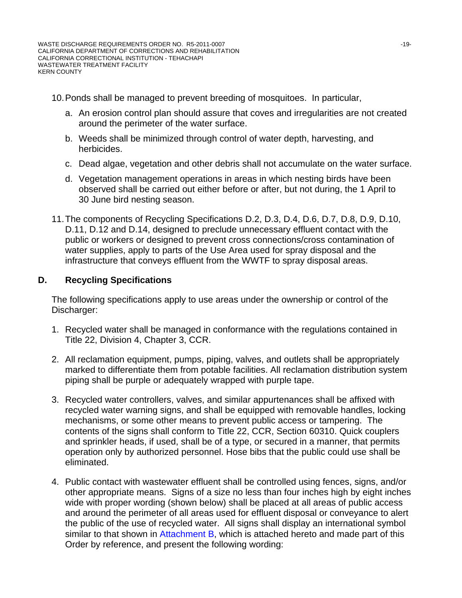10. Ponds shall be managed to prevent breeding of mosquitoes. In particular,

- a. An erosion control plan should assure that coves and irregularities are not created around the perimeter of the water surface.
- b. Weeds shall be minimized through control of water depth, harvesting, and herbicides.
- c. Dead algae, vegetation and other debris shall not accumulate on the water surface.
- d. Vegetation management operations in areas in which nesting birds have been observed shall be carried out either before or after, but not during, the 1 April to 30 June bird nesting season.
- 11. The components of Recycling Specifications D.2, D.3, D.4, D.6, D.7, D.8, D.9, D.10, D.11, D.12 and D.14, designed to preclude unnecessary effluent contact with the public or workers or designed to prevent cross connections/cross contamination of water supplies, apply to parts of the Use Area used for spray disposal and the infrastructure that conveys effluent from the WWTF to spray disposal areas.

# **D.** Recycling Specifications

The following specifications apply to use areas under the ownership or control of the Discharger:

- 1. Recycled water shall be managed in conformance with the regulations contained in Title 22, Division 4, Chapter 3, CCR.
- 2. All reclamation equipment, pumps, piping, valves, and outlets shall be appropriately marked to differentiate them from potable facilities. All reclamation distribution system piping shall be purple or adequately wrapped with purple tape.
- 3. Recycled water controllers, valves, and similar appurtenances shall be affixed with recycled water warning signs, and shall be equipped with removable handles, locking mechanisms, or some other means to prevent public access or tampering. The contents of the signs shall conform to Title 22, CCR, Section 60310. Quick couplers and sprinkler heads, if used, shall be of a type, or secured in a manner, that permits operation only by authorized personnel. Hose bibs that the public could use shall be eliminated.
- 4. Public contact with wastewater effluent shall be controlled using fences, signs, and/or other appropriate means. Signs of a size no less than four inches high by eight inches wide with proper wording (shown below) shall be placed at all areas of public access and around the perimeter of all areas used for effluent disposal or conveyance to alert the public of the use of recycled water. All signs shall display an international symbol similar to that shown in Attachment B, which is attached hereto and made part of this Order by reference, and present the following wording: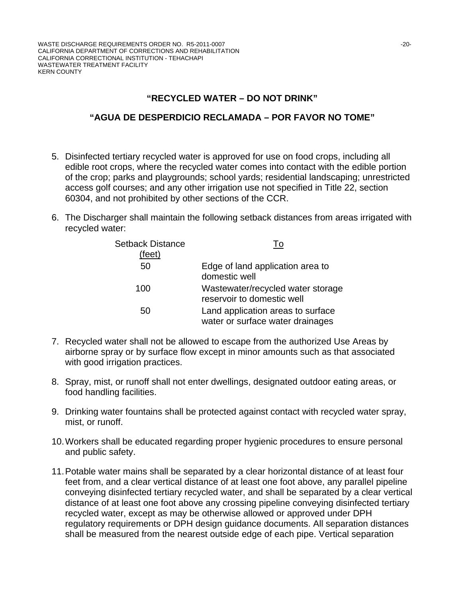# **"RECYCLED WATER – DO NOT DRINK"**

### **"AGUA DE DESPERDICIO RECLAMADA – POR FAVOR NO TOME"**

- 5. Disinfected tertiary recycled water is approved for use on food crops, including all edible root crops, where the recycled water comes into contact with the edible portion of the crop; parks and playgrounds; school yards; residential landscaping; unrestricted access golf courses; and any other irrigation use not specified in Title 22, section 60304, and not prohibited by other sections of the CCR.
- 6. The Discharger shall maintain the following setback distances from areas irrigated with recycled water:

| Setback Distance<br>(feet) | To                                                                    |
|----------------------------|-----------------------------------------------------------------------|
| 50                         | Edge of land application area to<br>domestic well                     |
| 100                        | Wastewater/recycled water storage<br>reservoir to domestic well       |
| 50                         | Land application areas to surface<br>water or surface water drainages |

- 7. Recycled water shall not be allowed to escape from the authorized Use Areas by airborne spray or by surface flow except in minor amounts such as that associated with good irrigation practices.
- 8. Spray, mist, or runoff shall not enter dwellings, designated outdoor eating areas, or food handling facilities.
- 9. Drinking water fountains shall be protected against contact with recycled water spray, mist, or runoff.
- 10. Workers shall be educated regarding proper hygienic procedures to ensure personal and public safety.
- 11. Potable water mains shall be separated by a clear horizontal distance of at least four feet from, and a clear vertical distance of at least one foot above, any parallel pipeline conveying disinfected tertiary recycled water, and shall be separated by a clear vertical distance of at least one foot above any crossing pipeline conveying disinfected tertiary recycled water, except as may be otherwise allowed or approved under DPH regulatory requirements or DPH design guidance documents. All separation distances shall be measured from the nearest outside edge of each pipe. Vertical separation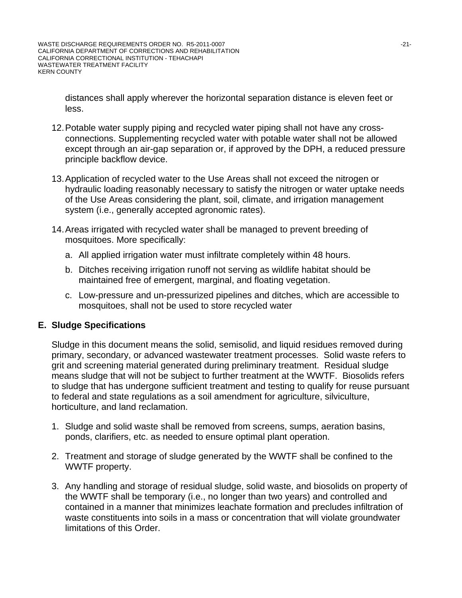distances shall apply wherever the horizontal separation distance is eleven feet or less.

- 12. Potable water supply piping and recycled water piping shall not have any crossconnections. Supplementing recycled water with potable water shall not be allowed except through an air-gap separation or, if approved by the DPH, a reduced pressure principle backflow device.
- 13. Application of recycled water to the Use Areas shall not exceed the nitrogen or hydraulic loading reasonably necessary to satisfy the nitrogen or water uptake needs of the Use Areas considering the plant, soil, climate, and irrigation management system (i.e., generally accepted agronomic rates).
- 14. Areas irrigated with recycled water shall be managed to prevent breeding of mosquitoes. More specifically:
	- a. All applied irrigation water must infiltrate completely within 48 hours.
	- b. Ditches receiving irrigation runoff not serving as wildlife habitat should be maintained free of emergent, marginal, and floating vegetation.
	- c. Low-pressure and un-pressurized pipelines and ditches, which are accessible to mosquitoes, shall not be used to store recycled water

### **E. Sludge Specifications**

Sludge in this document means the solid, semisolid, and liquid residues removed during primary, secondary, or advanced wastewater treatment processes. Solid waste refers to grit and screening material generated during preliminary treatment. Residual sludge means sludge that will not be subject to further treatment at the WWTF. Biosolids refers to sludge that has undergone sufficient treatment and testing to qualify for reuse pursuant to federal and state regulations as a soil amendment for agriculture, silviculture, horticulture, and land reclamation.

- 1. Sludge and solid waste shall be removed from screens, sumps, aeration basins, ponds, clarifiers, etc. as needed to ensure optimal plant operation.
- 2. Treatment and storage of sludge generated by the WWTF shall be confined to the WWTF property.
- 3. Any handling and storage of residual sludge, solid waste, and biosolids on property of the WWTF shall be temporary (i.e., no longer than two years) and controlled and contained in a manner that minimizes leachate formation and precludes infiltration of waste constituents into soils in a mass or concentration that will violate groundwater limitations of this Order.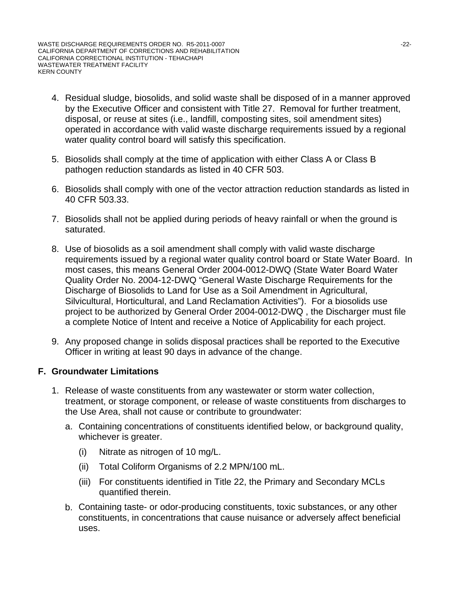- 4. Residual sludge, biosolids, and solid waste shall be disposed of in a manner approved by the Executive Officer and consistent with Title 27. Removal for further treatment, disposal, or reuse at sites (i.e., landfill, composting sites, soil amendment sites) operated in accordance with valid waste discharge requirements issued by a regional water quality control board will satisfy this specification.
- 5. Biosolids shall comply at the time of application with either Class A or Class B pathogen reduction standards as listed in 40 CFR 503.
- 6. Biosolids shall comply with one of the vector attraction reduction standards as listed in 40 CFR 503.33.
- 7. Biosolids shall not be applied during periods of heavy rainfall or when the ground is saturated.
- 8. Use of biosolids as a soil amendment shall comply with valid waste discharge requirements issued by a regional water quality control board or State Water Board. In most cases, this means General Order 2004-0012-DWQ (State Water Board Water Quality Order No. 2004-12-DWQ "General Waste Discharge Requirements for the Discharge of Biosolids to Land for Use as a Soil Amendment in Agricultural, Silvicultural, Horticultural, and Land Reclamation Activities"). For a biosolids use project to be authorized by General Order 2004-0012-DWQ , the Discharger must file a complete Notice of Intent and receive a Notice of Applicability for each project.
- 9. Any proposed change in solids disposal practices shall be reported to the Executive Officer in writing at least 90 days in advance of the change.

### **F. Groundwater Limitations**

- 1. Release of waste constituents from any wastewater or storm water collection, treatment, or storage component, or release of waste constituents from discharges to the Use Area, shall not cause or contribute to groundwater:
	- a. Containing concentrations of constituents identified below, or background quality, whichever is greater.
		- (i) Nitrate as nitrogen of 10 mg/L.
		- (ii) Total Coliform Organisms of 2.2 MPN/100 mL.
		- (iii) For constituents identified in Title 22, the Primary and Secondary MCLs quantified therein.
	- b. Containing taste- or odor-producing constituents, toxic substances, or any other co nstituents, in concentrations that cause nuisance or adversely affect beneficial us es.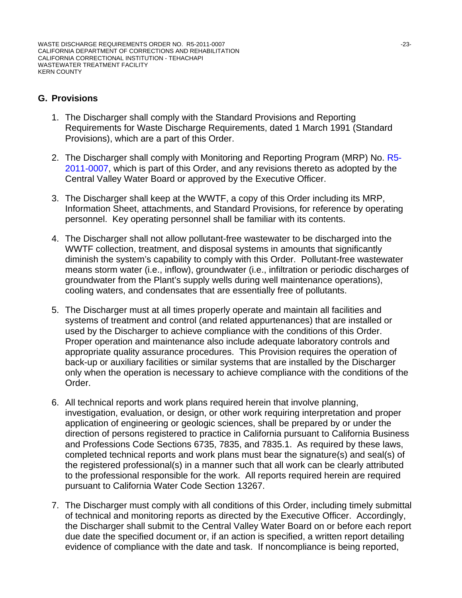# **G. Provisions**

- 1. The Discharger shall comply with the Standard Provisions and Reporting Requirements for Waste Discharge Requirements, dated 1 March 1991 (Standard Provisions), which are a part of this Order.
- 2. The Discharger shall comply with Monitoring and Reporting Program (MRP) No. R5-2011-0007, which is part of this Order, and any revisions thereto as adopted by the Central Valley Water Board or approved by the Executive Officer.
- 3. The Discharger shall keep at the WWTF, a copy of this Order including its MRP, Information Sheet, attachments, and Standard Provisions, for reference by operating personnel. Key operating personnel shall be familiar with its contents.
- 4. The Discharger shall not allow pollutant-free wastewater to be discharged into the WWTF collection, treatment, and disposal systems in amounts that significantly diminish the system's capability to comply with this Order. Pollutant-free wastewater means storm water (i.e., inflow), groundwater (i.e., infiltration or periodic discharges of groundwater from the Plant's supply wells during well maintenance operations), cooling waters, and condensates that are essentially free of pollutants.
- 5. The Discharger must at all times properly operate and maintain all facilities and systems of treatment and control (and related appurtenances) that are installed or used by the Discharger to achieve compliance with the conditions of this Order. Proper operation and maintenance also include adequate laboratory controls and appropriate quality assurance procedures. This Provision requires the operation of back-up or auxiliary facilities or similar systems that are installed by the Discharger only when the operation is necessary to achieve compliance with the conditions of the Order.
- 6. All technical reports and work plans required herein that involve planning, investigation, evaluation, or design, or other work requiring interpretation and proper application of engineering or geologic sciences, shall be prepared by or under the direction of persons registered to practice in California pursuant to California Business and Professions Code Sections 6735, 7835, and 7835.1. As required by these laws, completed technical reports and work plans must bear the signature(s) and seal(s) of the registered professional(s) in a manner such that all work can be clearly attributed to the professional responsible for the work. All reports required herein are required pursuant to California Water Code Section 13267.
- 7. The Discharger must comply with all conditions of this Order, including timely submittal of technical and monitoring reports as directed by the Executive Officer. Accordingly, the Discharger shall submit to the Central Valley Water Board on or before each report due date the specified document or, if an action is specified, a written report detailing evidence of compliance with the date and task. If noncompliance is being reported,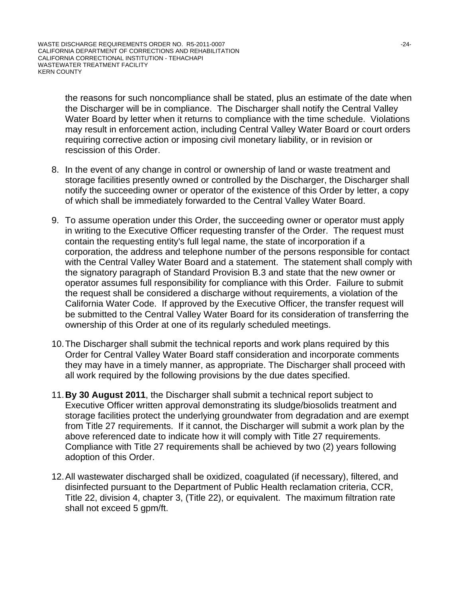the reasons for such noncompliance shall be stated, plus an estimate of the date when the Discharger will be in compliance. The Discharger shall notify the Central Valley Water Board by letter when it returns to compliance with the time schedule. Violations may result in enforcement action, including Central Valley Water Board or court orders requiring corrective action or imposing civil monetary liability, or in revision or rescission of this Order.

- 8. In the event of any change in control or ownership of land or waste treatment and storage facilities presently owned or controlled by the Discharger, the Discharger shall notify the succeeding owner or operator of the existence of this Order by letter, a copy of which shall be immediately forwarded to the Central Valley Water Board.
- 9. To assume operation under this Order, the succeeding owner or operator must apply in writing to the Executive Officer requesting transfer of the Order. The request must contain the requesting entity's full legal name, the state of incorporation if a corporation, the address and telephone number of the persons responsible for contact with the Central Valley Water Board and a statement. The statement shall comply with the signatory paragraph of Standard Provision B.3 and state that the new owner or operator assumes full responsibility for compliance with this Order. Failure to submit the request shall be considered a discharge without requirements, a violation of the California Water Code. If approved by the Executive Officer, the transfer request will be submitted to the Central Valley Water Board for its consideration of transferring the ownership of this Order at one of its regularly scheduled meetings.
- 10. The Discharger shall submit the technical reports and work plans required by this Order for Central Valley Water Board staff consideration and incorporate comments they may have in a timely manner, as appropriate. The Discharger shall proceed with all work required by the following provisions by the due dates specified.
- 11.**By 30 August 2011**, the Discharger shall submit a technical report subject to Executive Officer written approval demonstrating its sludge/biosolids treatment and storage facilities protect the underlying groundwater from degradation and are exempt from Title 27 requirements. If it cannot, the Discharger will submit a work plan by the above referenced date to indicate how it will comply with Title 27 requirements. Compliance with Title 27 requirements shall be achieved by two (2) years following adoption of this Order.
- 12. All wastewater discharged shall be oxidized, coagulated (if necessary), filtered, and disinfected pursuant to the Department of Public Health reclamation criteria, CCR, Title 22, division 4, chapter 3, (Title 22), or equivalent. The maximum filtration rate shall not exceed 5 gpm/ft.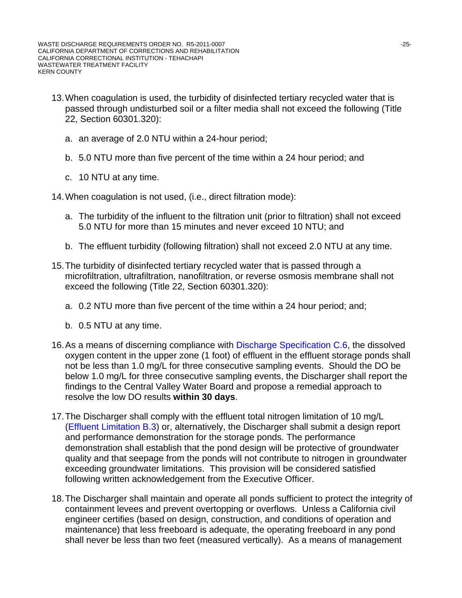- 13. When coagulation is used, the turbidity of disinfected tertiary recycled water that is passed through undisturbed soil or a filter media shall not exceed the following (Title 22, Section 60301.320):
	- a. an average of 2.0 NTU within a 24-hour period;
	- b. 5.0 NTU more than five percent of the time within a 24 hour period; and
	- c. 10 NTU at any time.

14. When coagulation is not used, (i.e., direct filtration mode):

- a. The turbidity of the influent to the filtration unit (prior to filtration) shall not exceed 5.0 NTU for more than 15 minutes and never exceed 10 NTU; and
- b. The effluent turbidity (following filtration) shall not exceed 2.0 NTU at any time.
- 15. The turbidity of disinfected tertiary recycled water that is passed through a microfiltration, ultrafiltration, nanofiltration, or reverse osmosis membrane shall not exceed the following (Title 22, Section 60301.320):
	- a. 0.2 NTU more than five percent of the time within a 24 hour period; and;
	- b. 0.5 NTU at any time.
- 16. As a means of discerning compliance with Discharge Specification C.6, the dissolved oxygen content in the upper zone (1 foot) of effluent in the effluent storage ponds shall not be less than 1.0 mg/L for three consecutive sampling events. Should the DO be below 1.0 mg/L for three consecutive sampling events, the Discharger shall report the findings to the Central Valley Water Board and propose a remedial approach to resolve the low DO results **within 30 days**.
- 17. The Discharger shall comply with the effluent total nitrogen limitation of 10 mg/L (Effluent Limitation B.3) or, alternatively, the Discharger shall submit a design report and performance demonstration for the storage ponds. The performance demonstration shall establish that the pond design will be protective of groundwater quality and that seepage from the ponds will not contribute to nitrogen in groundwater exceeding groundwater limitations. This provision will be considered satisfied following written acknowledgement from the Executive Officer.
- 18. The Discharger shall maintain and operate all ponds sufficient to protect the integrity of containment levees and prevent overtopping or overflows. Unless a California civil engineer certifies (based on design, construction, and conditions of operation and maintenance) that less freeboard is adequate, the operating freeboard in any pond shall never be less than two feet (measured vertically). As a means of management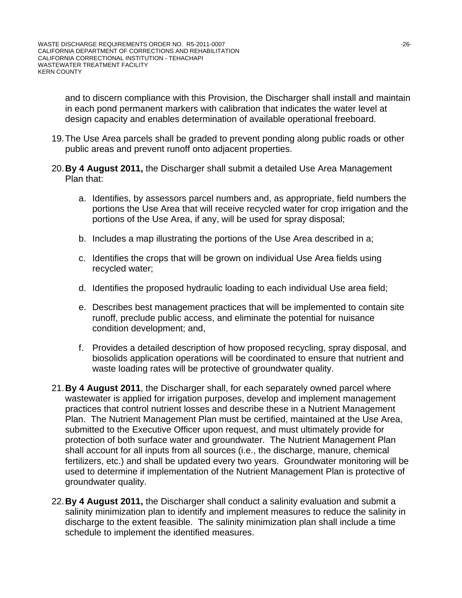and to discern compliance with this Provision, the Discharger shall install and maintain in each pond permanent markers with calibration that indicates the water level at design capacity and enables determination of available operational freeboard.

- 19. The Use Area parcels shall be graded to prevent ponding along public roads or other public areas and prevent runoff onto adjacent properties.
- 20.**By 4 August 2011,** the Discharger shall submit a detailed Use Area Management Plan that:
	- a. Identifies, by assessors parcel numbers and, as appropriate, field numbers the portions the Use Area that will receive recycled water for crop irrigation and the portions of the Use Area, if any, will be used for spray disposal;
	- b. Includes a map illustrating the portions of the Use Area described in a;
	- c. Identifies the crops that will be grown on individual Use Area fields using recycled water;
	- d. Identifies the proposed hydraulic loading to each individual Use area field;
	- e. Describes best management practices that will be implemented to contain site runoff, preclude public access, and eliminate the potential for nuisance condition development; and,
	- f. Provides a detailed description of how proposed recycling, spray disposal, and biosolids application operations will be coordinated to ensure that nutrient and waste loading rates will be protective of groundwater quality.
- 21.**By 4 August 2011**, the Discharger shall, for each separately owned parcel where wastewater is applied for irrigation purposes, develop and implement management practices that control nutrient losses and describe these in a Nutrient Management Plan. The Nutrient Management Plan must be certified, maintained at the Use Area, submitted to the Executive Officer upon request, and must ultimately provide for protection of both surface water and groundwater. The Nutrient Management Plan shall account for all inputs from all sources (i.e., the discharge, manure, chemical fertilizers, etc.) and shall be updated every two years. Groundwater monitoring will be used to determine if implementation of the Nutrient Management Plan is protective of groundwater quality.
- 22.**By 4 August 2011,** the Discharger shall conduct a salinity evaluation and submit a salinity minimization plan to identify and implement measures to reduce the salinity in discharge to the extent feasible. The salinity minimization plan shall include a time schedule to implement the identified measures.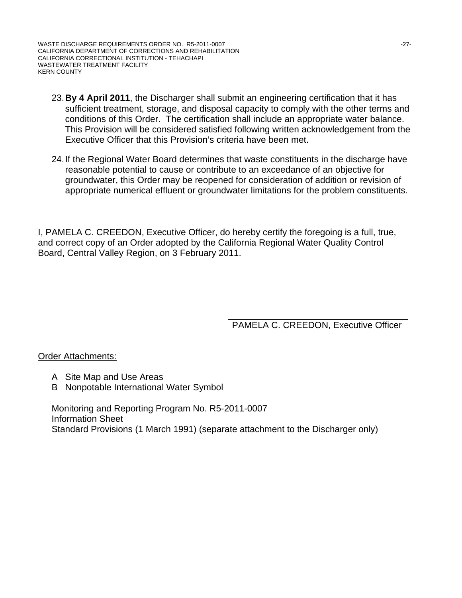WASTE DISCHARGE REQUIREMENTS ORDER NO. R5-2011-0007 NO. 2008 12012 127-2012 CALIFORNIA DEPARTMENT OF CORRECTIONS AND REHABILITATION CALIFORNIA CORRECTIONAL INSTITUTION - TEHACHAPI WASTEWATER TREATMENT FACILITY KERN COUNTY

- 23.**By 4 April 2011**, the Discharger shall submit an engineering certification that it has sufficient treatment, storage, and disposal capacity to comply with the other terms and conditions of this Order. The certification shall include an appropriate water balance. This Provision will be considered satisfied following written acknowledgement from the Executive Officer that this Provision's criteria have been met.
- 24. If the Regional Water Board determines that waste constituents in the discharge have reasonable potential to cause or contribute to an exceedance of an objective for groundwater, this Order may be reopened for consideration of addition or revision of appropriate numerical effluent or groundwater limitations for the problem constituents.

I, PAMELA C. CREEDON, Executive Officer, do hereby certify the foregoing is a full, true, and correct copy of an Order adopted by the California Regional Water Quality Control Board, Central Valley Region, on 3 February 2011.

PAMELA C. CREEDON, Executive Officer

**Order Attachments:** 

- A Site Map and Use Areas
- B Nonpotable International Water Symbol

Monitoring and Reporting Program No. R5-2011-0007 Information Sheet Standard Provisions (1 March 1991) (separate attachment to the Discharger only)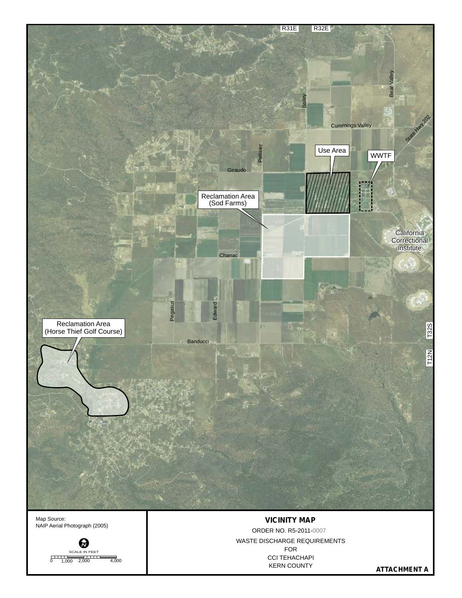

NAIP Aerial Photograph (2005)



FOR CCI TEHACHAPI KERN COUNTY WASTE DISCHARGE REQUIREMENTS ORDER NO. R5-2011-0007

**ATTACHMENT A**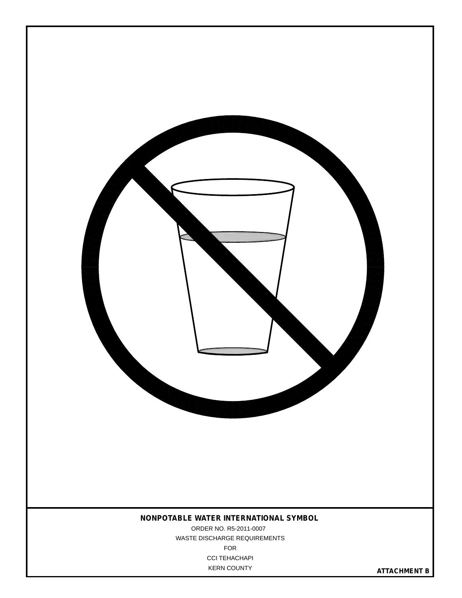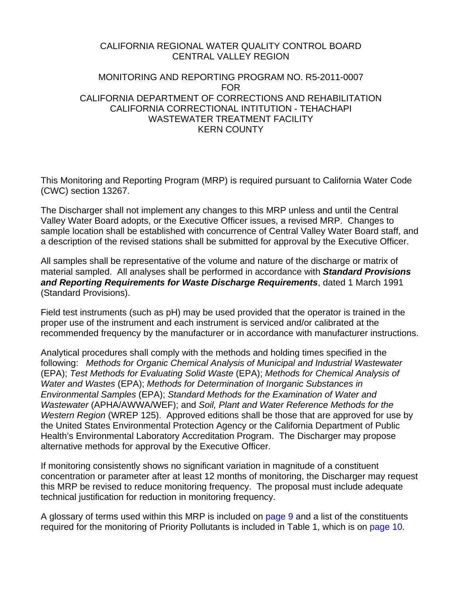### CALIFORNIA REGIONAL WATER QUALITY CONTROL BOARD CENTRAL VALLEY REGION

### MONITORING AND REPORTING PROGRAM NO. R5-2011-0007 FOR CALIFORNIA DEPARTMENT OF CORRECTIONS AND REHABILITATION CALIFORNIA CORRECTIONAL INTITUTION - TEHACHAPI WASTEWATER TREATMENT FACILITY KERN COUNTY

This Monitoring and Reporting Program (MRP) is required pursuant to California Water Code (CWC) section 13267.

The Discharger shall not implement any changes to this MRP unless and until the Central Valley Water Board adopts, or the Executive Officer issues, a revised MRP. Changes to sample location shall be established with concurrence of Central Valley Water Board staff, and a description of the revised stations shall be submitted for approval by the Executive Officer.

All samples shall be representative of the volume and nature of the discharge or matrix of material sampled. All analyses shall be performed in accordance with *Standard Provisions and Reporting Requirements for Waste Discharge Requirements*, dated 1 March 1991 (Standard Provisions).

Field test instruments (such as pH) may be used provided that the operator is trained in the proper use of the instrument and each instrument is serviced and/or calibrated at the recommended frequency by the manufacturer or in accordance with manufacturer instructions.

Analytical procedures shall comply with the methods and holding times specified in the following: *Methods for Organic Chemical Analysis of Municipal and Industrial Wastewater* (EPA); *Test Methods for Evaluating Solid Waste* (EPA); *Methods for Chemical Analysis of Water and Wastes* (EPA); *Methods for Determination of Inorganic Substances in Environmental Samples* (EPA); *Standard Methods for the Examination of Water and Wastewater* (APHA/AWWA/WEF); and *Soil, Plant and Water Reference Methods for the Western Region* (WREP 125). Approved editions shall be those that are approved for use by the United States Environmental Protection Agency or the California Department of Public Health's Environmental Laboratory Accreditation Program. The Discharger may propose alternative methods for approval by the Executive Officer.

If monitoring consistently shows no significant variation in magnitude of a constituent concentration or parameter after at least 12 months of monitoring, the Discharger may request this MRP be revised to reduce monitoring frequency. The proposal must include adequate technical justification for reduction in monitoring frequency.

A glossary of terms used within this MRP is included on page 9 and a list of the constituents required for the monitoring of Priority Pollutants is included in Table 1, which is on page 10.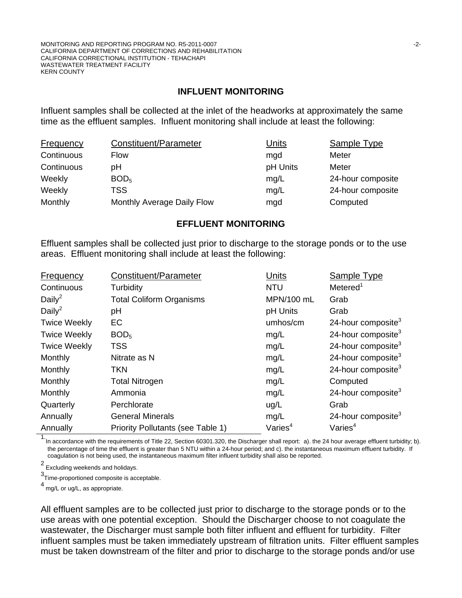#### **INFLUENT MONITORING**

Influent samples shall be collected at the inlet of the headworks at approximately the same time as the effluent samples. Influent monitoring shall include at least the following:

| <b>Frequency</b> | Constituent/Parameter      | Units    | Sample Type       |
|------------------|----------------------------|----------|-------------------|
| Continuous       | Flow                       | mgd      | Meter             |
| Continuous       | рH                         | pH Units | Meter             |
| Weekly           | BOD <sub>5</sub>           | mg/L     | 24-hour composite |
| Weekly           | <b>TSS</b>                 | mq/L     | 24-hour composite |
| Monthly          | Monthly Average Daily Flow | mgd      | Computed          |

#### **EFFLUENT MONITORING**

Effluent samples shall be collected just prior to discharge to the storage ponds or to the use areas. Effluent monitoring shall include at least the following:

| Frequency           | Constituent/Parameter             | <b>Units</b> | Sample Type                    |
|---------------------|-----------------------------------|--------------|--------------------------------|
| Continuous          | Turbidity                         | <b>NTU</b>   | Metered <sup>1</sup>           |
| Daily <sup>2</sup>  | <b>Total Coliform Organisms</b>   | MPN/100 mL   | Grab                           |
| Daily <sup>2</sup>  | pH                                | pH Units     | Grab                           |
| <b>Twice Weekly</b> | EC                                | umhos/cm     | 24-hour composite <sup>3</sup> |
| <b>Twice Weekly</b> | BOD <sub>5</sub>                  | mg/L         | 24-hour composite $3$          |
| <b>Twice Weekly</b> | <b>TSS</b>                        | mg/L         | 24-hour composite <sup>3</sup> |
| Monthly             | Nitrate as N                      | mg/L         | 24-hour composite $3$          |
| Monthly             | TKN                               | mg/L         | 24-hour composite $3$          |
| Monthly             | <b>Total Nitrogen</b>             | mg/L         | Computed                       |
| Monthly             | Ammonia                           | mg/L         | 24-hour composite <sup>3</sup> |
| Quarterly           | Perchlorate                       | ug/L         | Grab                           |
| Annually            | <b>General Minerals</b>           | mg/L         | 24-hour composite <sup>3</sup> |
| Annually            | Priority Pollutants (see Table 1) | Varies $4$   | Varies <sup>4</sup>            |

1.<br>In accordance with the requirements of Title 22, Section 60301.320, the Discharger shall report: a). the 24 hour average effluent turbidity; b). the percentage of time the effluent is greater than 5 NTU within a 24-hour period; and c). the instantaneous maximum effluent turbidity. If coagulation is not being used, the instantaneous maximum filter influent turbidity shall also be reported.

 $^2$  Excluding weekends and holidays.

3 Time-proportioned composite is acceptable.

4 mg/L or ug/L, as appropriate.

All effluent samples are to be collected just prior to discharge to the storage ponds or to the use areas with one potential exception. Should the Discharger choose to not coagulate the wastewater, the Discharger must sample both filter influent and effluent for turbidity. Filter influent samples must be taken immediately upstream of filtration units. Filter effluent samples must be taken downstream of the filter and prior to discharge to the storage ponds and/or use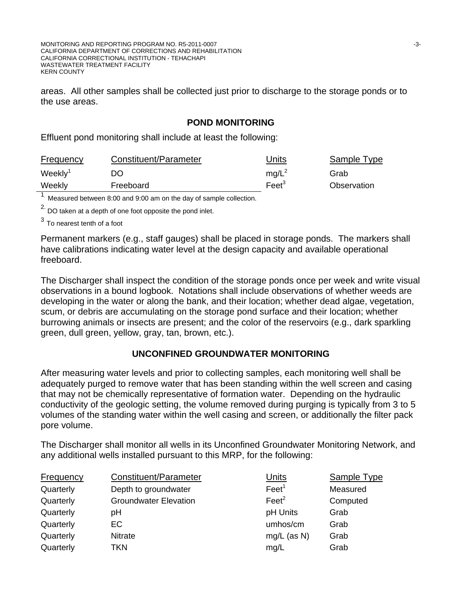MONITORING AND REPORTING PROGRAM NO. R5-2011-0007 **And CONVERT AND REPORT AND REPORTING PROGRAM NO. R5-2011-0007** CALIFORNIA DEPARTMENT OF CORRECTIONS AND REHABILITATION CALIFORNIA CORRECTIONAL INSTITUTION - TEHACHAPI WASTEWATER TREATMENT FACILITY KERN COUNTY

areas. All other samples shall be collected just prior to discharge to the storage ponds or to the use areas.

# **POND MONITORING**

Effluent pond monitoring shall include at least the following:

| <b>Frequency</b>    | Constituent/Parameter | Jnits           | Sample Type |
|---------------------|-----------------------|-----------------|-------------|
| Weekly <sup>1</sup> | DO                    | $mq/L^2$        | Grab        |
| Weekly              | Freeboard             | Fe <sup>3</sup> | Observation |
|                     |                       |                 |             |

<sup>1.</sup> Measured between 8:00 and 9:00 am on the day of sample collection.

 $2.$  DO taken at a depth of one foot opposite the pond inlet.

 $3$  To nearest tenth of a foot

Permanent markers (e.g., staff gauges) shall be placed in storage ponds. The markers shall have calibrations indicating water level at the design capacity and available operational freeboard.

The Discharger shall inspect the condition of the storage ponds once per week and write visual observations in a bound logbook. Notations shall include observations of whether weeds are developing in the water or along the bank, and their location; whether dead algae, vegetation, scum, or debris are accumulating on the storage pond surface and their location; whether burrowing animals or insects are present; and the color of the reservoirs (e.g., dark sparkling green, dull green, yellow, gray, tan, brown, etc.).

### **UNCONFINED GROUNDWATER MONITORING**

After measuring water levels and prior to collecting samples, each monitoring well shall be adequately purged to remove water that has been standing within the well screen and casing that may not be chemically representative of formation water. Depending on the hydraulic conductivity of the geologic setting, the volume removed during purging is typically from 3 to 5 volumes of the standing water within the well casing and screen, or additionally the filter pack pore volume.

The Discharger shall monitor all wells in its Unconfined Groundwater Monitoring Network, and any additional wells installed pursuant to this MRP, for the following:

| <b>Frequency</b> | Constituent/Parameter        | <b>Units</b>      | <b>Sample Type</b> |
|------------------|------------------------------|-------------------|--------------------|
| Quarterly        | Depth to groundwater         | Feet <sup>1</sup> | Measured           |
| Quarterly        | <b>Groundwater Elevation</b> | $\text{Feet}^2$   | Computed           |
| Quarterly        | рH                           | pH Units          | Grab               |
| Quarterly        | <b>EC</b>                    | umhos/cm          | Grab               |
| Quarterly        | <b>Nitrate</b>               | $mg/L$ (as N)     | Grab               |
| Quarterly        | TKN                          | mq/L              | Grab               |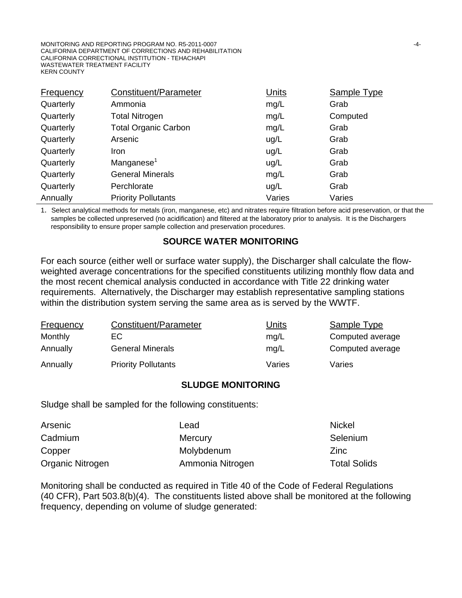MONITORING AND REPORTING PROGRAM NO. R5-2011-0007 **ACCOMING 10 ACCOMING 10 ACCOMING 14-4-**CALIFORNIA DEPARTMENT OF CORRECTIONS AND REHABILITATION CALIFORNIA CORRECTIONAL INSTITUTION - TEHACHAPI WASTEWATER TREATMENT FACILITY KERN COUNTY

| <b>Frequency</b> | Constituent/Parameter       | <b>Units</b> | <b>Sample Type</b> |
|------------------|-----------------------------|--------------|--------------------|
| Quarterly        | Ammonia                     | mg/L         | Grab               |
| Quarterly        | <b>Total Nitrogen</b>       | mg/L         | Computed           |
| Quarterly        | <b>Total Organic Carbon</b> | mg/L         | Grab               |
| Quarterly        | Arsenic                     | ug/L         | Grab               |
| Quarterly        | <b>Iron</b>                 | ug/L         | Grab               |
| Quarterly        | Manganese <sup>1</sup>      | ug/L         | Grab               |
| Quarterly        | <b>General Minerals</b>     | mg/L         | Grab               |
| Quarterly        | Perchlorate                 | ug/L         | Grab               |
| Annually         | <b>Priority Pollutants</b>  | Varies       | Varies             |

1. Select analytical methods for metals (iron, manganese, etc) and nitrates require filtration before acid preservation, or that the samples be collected unpreserved (no acidification) and filtered at the laboratory prior to analysis. It is the Dischargers responsibility to ensure proper sample collection and preservation procedures.

#### **SOURCE WATER MONITORING**

For each source (either well or surface water supply), the Discharger shall calculate the flowweighted average concentrations for the specified constituents utilizing monthly flow data and the most recent chemical analysis conducted in accordance with Title 22 drinking water requirements. Alternatively, the Discharger may establish representative sampling stations within the distribution system serving the same area as is served by the WWTF.

| Frequency | Constituent/Parameter      | Units  | Sample Type      |
|-----------|----------------------------|--------|------------------|
| Monthly   | EC.                        | mq/L   | Computed average |
| Annually  | <b>General Minerals</b>    | mq/L   | Computed average |
| Annually  | <b>Priority Pollutants</b> | Varies | Varies           |

#### **SLUDGE MONITORING**

Sludge shall be sampled for the following constituents:

| Arsenic          | Lead             | Nickel              |
|------------------|------------------|---------------------|
| Cadmium          | <b>Mercury</b>   | Selenium            |
| Copper           | Molybdenum       | Zinc                |
| Organic Nitrogen | Ammonia Nitrogen | <b>Total Solids</b> |

Monitoring shall be conducted as required in Title 40 of the Code of Federal Regulations (40 CFR), Part 503.8(b)(4). The constituents listed above shall be monitored at the following frequency, depending on volume of sludge generated: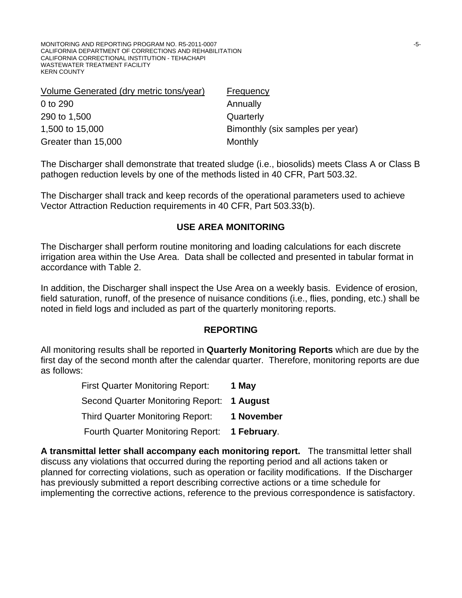| Volume Generated (dry metric tons/year) | Frequency                        |
|-----------------------------------------|----------------------------------|
| 0 to 290                                | Annually                         |
| 290 to 1,500                            | Quarterly                        |
| 1,500 to 15,000                         | Bimonthly (six samples per year) |
| Greater than 15,000                     | Monthly                          |

The Discharger shall demonstrate that treated sludge (i.e., biosolids) meets Class A or Class B pathogen reduction levels by one of the methods listed in 40 CFR, Part 503.32.

The Discharger shall track and keep records of the operational parameters used to achieve Vector Attraction Reduction requirements in 40 CFR, Part 503.33(b).

#### **USE AREA MONITORING**

The Discharger shall perform routine monitoring and loading calculations for each discrete irrigation area within the Use Area. Data shall be collected and presented in tabular format in accordance with Table 2.

In addition, the Discharger shall inspect the Use Area on a weekly basis. Evidence of erosion, field saturation, runoff, of the presence of nuisance conditions (i.e., flies, ponding, etc.) shall be noted in field logs and included as part of the quarterly monitoring reports.

### **REPORTING**

All monitoring results shall be reported in **Quarterly Monitoring Reports** which are due by the first day of the second month after the calendar quarter. Therefore, monitoring reports are due as follows:

| <b>First Quarter Monitoring Report:</b>    | 1 May       |
|--------------------------------------------|-------------|
| Second Quarter Monitoring Report: 1 August |             |
| <b>Third Quarter Monitoring Report:</b>    | 1 November  |
| <b>Fourth Quarter Monitoring Report:</b>   | 1 February. |

**A transmittal letter shall accompany each monitoring report.** The transmittal letter shall discuss any violations that occurred during the reporting period and all actions taken or planned for correcting violations, such as operation or facility modifications. If the Discharger has previously submitted a report describing corrective actions or a time schedule for implementing the corrective actions, reference to the previous correspondence is satisfactory.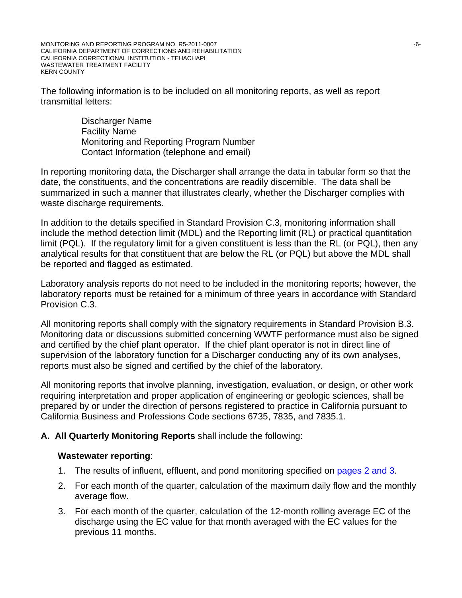The following information is to be included on all monitoring reports, as well as report transmittal letters:

> Discharger Name Facility Name Monitoring and Reporting Program Number Contact Information (telephone and email)

In reporting monitoring data, the Discharger shall arrange the data in tabular form so that the date, the constituents, and the concentrations are readily discernible. The data shall be summarized in such a manner that illustrates clearly, whether the Discharger complies with waste discharge requirements.

In addition to the details specified in Standard Provision C.3, monitoring information shall include the method detection limit (MDL) and the Reporting limit (RL) or practical quantitation limit (PQL). If the regulatory limit for a given constituent is less than the RL (or PQL), then any analytical results for that constituent that are below the RL (or PQL) but above the MDL shall be reported and flagged as estimated.

Laboratory analysis reports do not need to be included in the monitoring reports; however, the laboratory reports must be retained for a minimum of three years in accordance with Standard Provision C.3.

All monitoring reports shall comply with the signatory requirements in Standard Provision B.3. Monitoring data or discussions submitted concerning WWTF performance must also be signed and certified by the chief plant operator. If the chief plant operator is not in direct line of supervision of the laboratory function for a Discharger conducting any of its own analyses, reports must also be signed and certified by the chief of the laboratory.

All monitoring reports that involve planning, investigation, evaluation, or design, or other work requiring interpretation and proper application of engineering or geologic sciences, shall be prepared by or under the direction of persons registered to practice in California pursuant to California Business and Professions Code sections 6735, 7835, and 7835.1.

# **A. All Quarterly Monitoring Reports** shall include the following:

### **Wastewater reporting**:

- 1. The results of influent, effluent, and pond monitoring specified on pages 2 and 3.
- 2. For each month of the quarter, calculation of the maximum daily flow and the monthly average flow.
- 3. For each month of the quarter, calculation of the 12-month rolling average EC of the discharge using the EC value for that month averaged with the EC values for the previous 11 months.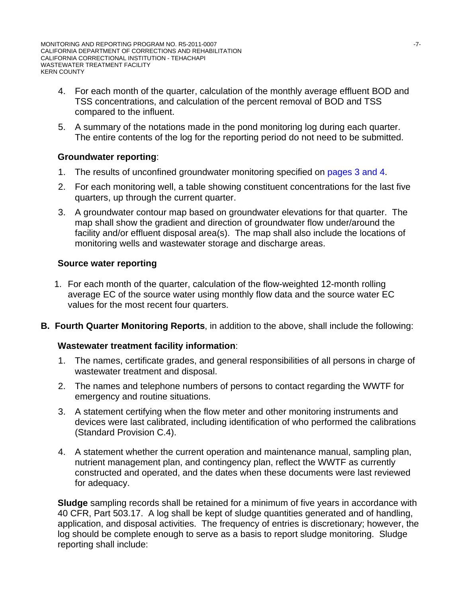- 4. For each month of the quarter, calculation of the monthly average effluent BOD and TSS concentrations, and calculation of the percent removal of BOD and TSS compared to the influent.
- 5. A summary of the notations made in the pond monitoring log during each quarter. The entire contents of the log for the reporting period do not need to be submitted.

# **Groundwater reporting**:

- 1. The results of unconfined groundwater monitoring specified on pages 3 and 4.
- 2. For each monitoring well, a table showing constituent concentrations for the last five quarters, up through the current quarter.
- 3. A groundwater contour map based on groundwater elevations for that quarter. The map shall show the gradient and direction of groundwater flow under/around the facility and/or effluent disposal area(s). The map shall also include the locations of monitoring wells and wastewater storage and discharge areas.

# **Source water reporting**

- 1. For each month of the quarter, calculation of the flow-weighted 12-month rolling average EC of the source water using monthly flow data and the source water EC values for the most recent four quarters.
- **B. Fourth Quarter Monitoring Reports**, in addition to the above, shall include the following:

### **Wastewater treatment facility information**:

- 1. The names, certificate grades, and general responsibilities of all persons in charge of wastewater treatment and disposal.
- 2. The names and telephone numbers of persons to contact regarding the WWTF for emergency and routine situations.
- 3. A statement certifying when the flow meter and other monitoring instruments and devices were last calibrated, including identification of who performed the calibrations (Standard Provision C.4).
- 4. A statement whether the current operation and maintenance manual, sampling plan, nutrient management plan, and contingency plan, reflect the WWTF as currently constructed and operated, and the dates when these documents were last reviewed for adequacy.

**Sludge** sampling records shall be retained for a minimum of five years in accordance with 40 CFR, Part 503.17. A log shall be kept of sludge quantities generated and of handling, application, and disposal activities. The frequency of entries is discretionary; however, the log should be complete enough to serve as a basis to report sludge monitoring. Sludge reporting shall include: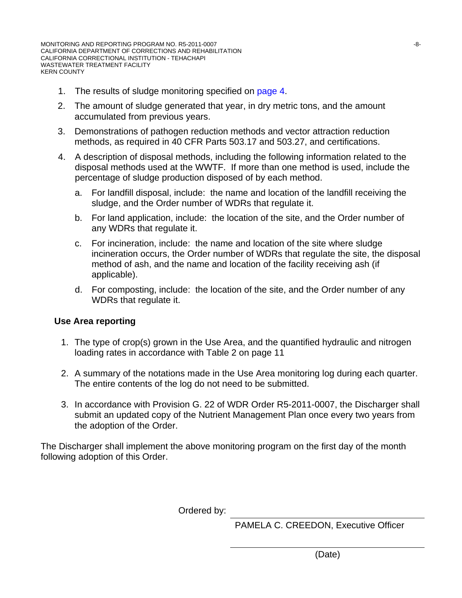- 1. The results of sludge monitoring specified on page 4.
- 2. The amount of sludge generated that year, in dry metric tons, and the amount accumulated from previous years.
- 3. Demonstrations of pathogen reduction methods and vector attraction reduction methods, as required in 40 CFR Parts 503.17 and 503.27, and certifications.
- 4. A description of disposal methods, including the following information related to the disposal methods used at the WWTF. If more than one method is used, include the percentage of sludge production disposed of by each method.
	- a. For landfill disposal, include: the name and location of the landfill receiving the sludge, and the Order number of WDRs that regulate it.
	- b. For land application, include: the location of the site, and the Order number of any WDRs that regulate it.
	- c. For incineration, include: the name and location of the site where sludge incineration occurs, the Order number of WDRs that regulate the site, the disposal method of ash, and the name and location of the facility receiving ash (if applicable).
	- d. For composting, include: the location of the site, and the Order number of any WDRs that regulate it.

### **Use Area reporting**

- 1. The type of crop(s) grown in the Use Area, and the quantified hydraulic and nitrogen loading rates in accordance with Table 2 on page 11
- 2. A summary of the notations made in the Use Area monitoring log during each quarter. The entire contents of the log do not need to be submitted.
- 3. In accordance with Provision G. 22 of WDR Order R5-2011-0007, the Discharger shall submit an updated copy of the Nutrient Management Plan once every two years from the adoption of the Order.

The Discharger shall implement the above monitoring program on the first day of the month following adoption of this Order.

Ordered by:

PAMELA C. CREEDON, Executive Officer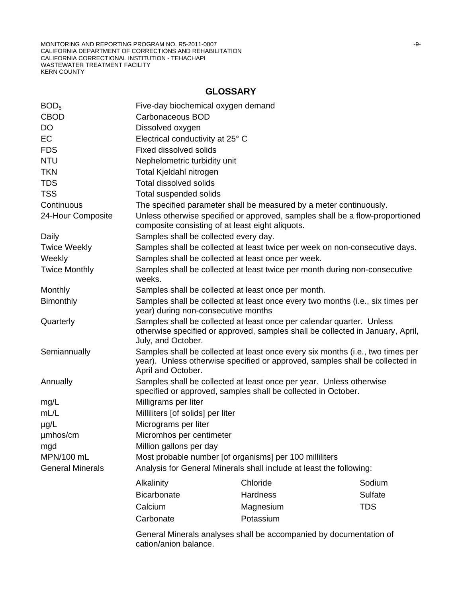# **GLOSSARY**

| BOD <sub>5</sub>        | Five-day biochemical oxygen demand                                                                                                                                                   |                                                                             |            |  |  |  |
|-------------------------|--------------------------------------------------------------------------------------------------------------------------------------------------------------------------------------|-----------------------------------------------------------------------------|------------|--|--|--|
| <b>CBOD</b>             | Carbonaceous BOD                                                                                                                                                                     |                                                                             |            |  |  |  |
| <b>DO</b>               | Dissolved oxygen                                                                                                                                                                     |                                                                             |            |  |  |  |
| <b>EC</b>               | Electrical conductivity at 25° C                                                                                                                                                     |                                                                             |            |  |  |  |
| <b>FDS</b>              | <b>Fixed dissolved solids</b>                                                                                                                                                        |                                                                             |            |  |  |  |
| <b>NTU</b>              | Nephelometric turbidity unit                                                                                                                                                         |                                                                             |            |  |  |  |
| <b>TKN</b>              | Total Kjeldahl nitrogen                                                                                                                                                              |                                                                             |            |  |  |  |
| <b>TDS</b>              | <b>Total dissolved solids</b>                                                                                                                                                        |                                                                             |            |  |  |  |
| <b>TSS</b>              | Total suspended solids                                                                                                                                                               |                                                                             |            |  |  |  |
| Continuous              |                                                                                                                                                                                      | The specified parameter shall be measured by a meter continuously.          |            |  |  |  |
| 24-Hour Composite       | Unless otherwise specified or approved, samples shall be a flow-proportioned<br>composite consisting of at least eight aliquots.                                                     |                                                                             |            |  |  |  |
| Daily                   | Samples shall be collected every day.                                                                                                                                                |                                                                             |            |  |  |  |
| <b>Twice Weekly</b>     |                                                                                                                                                                                      | Samples shall be collected at least twice per week on non-consecutive days. |            |  |  |  |
| Weekly                  |                                                                                                                                                                                      | Samples shall be collected at least once per week.                          |            |  |  |  |
| <b>Twice Monthly</b>    | Samples shall be collected at least twice per month during non-consecutive<br>weeks.                                                                                                 |                                                                             |            |  |  |  |
| Monthly                 |                                                                                                                                                                                      | Samples shall be collected at least once per month.                         |            |  |  |  |
| Bimonthly               | Samples shall be collected at least once every two months (i.e., six times per<br>year) during non-consecutive months                                                                |                                                                             |            |  |  |  |
| Quarterly               | Samples shall be collected at least once per calendar quarter. Unless<br>otherwise specified or approved, samples shall be collected in January, April,<br>July, and October.        |                                                                             |            |  |  |  |
| Semiannually            | Samples shall be collected at least once every six months (i.e., two times per<br>year). Unless otherwise specified or approved, samples shall be collected in<br>April and October. |                                                                             |            |  |  |  |
| Annually                | Samples shall be collected at least once per year. Unless otherwise<br>specified or approved, samples shall be collected in October.                                                 |                                                                             |            |  |  |  |
| mg/L                    | Milligrams per liter                                                                                                                                                                 |                                                                             |            |  |  |  |
| mL/L                    | Milliliters [of solids] per liter                                                                                                                                                    |                                                                             |            |  |  |  |
| $\mu$ g/L               | Micrograms per liter                                                                                                                                                                 |                                                                             |            |  |  |  |
| umhos/cm                | Micromhos per centimeter                                                                                                                                                             |                                                                             |            |  |  |  |
| mgd                     | Million gallons per day                                                                                                                                                              |                                                                             |            |  |  |  |
| MPN/100 mL              | Most probable number [of organisms] per 100 milliliters                                                                                                                              |                                                                             |            |  |  |  |
| <b>General Minerals</b> | Analysis for General Minerals shall include at least the following:                                                                                                                  |                                                                             |            |  |  |  |
|                         | Alkalinity                                                                                                                                                                           | Chloride                                                                    | Sodium     |  |  |  |
|                         | <b>Bicarbonate</b>                                                                                                                                                                   | Hardness                                                                    | Sulfate    |  |  |  |
|                         | Calcium                                                                                                                                                                              | Magnesium                                                                   | <b>TDS</b> |  |  |  |
|                         | Carbonate                                                                                                                                                                            | Potassium                                                                   |            |  |  |  |
|                         | General Minerals analyses shall be accompanied by documentation of                                                                                                                   |                                                                             |            |  |  |  |

General Minerals analyses shall be accompanied by documentation of cation/anion balance.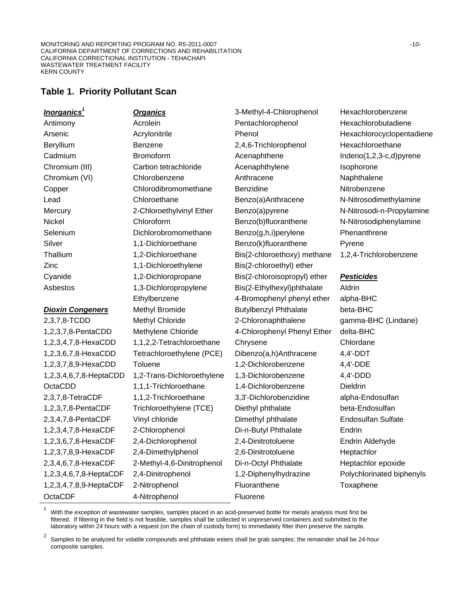# **Table 1. Priority Pollutant Scan**

| <u>Inorganics<sup>1</sup></u> | <b>Organics</b>            | 3-Methyl-4-Chlorophenol      | Hexachlorobenzene         |
|-------------------------------|----------------------------|------------------------------|---------------------------|
| Antimony                      | Acrolein                   | Pentachlorophenol            | Hexachlorobutadiene       |
| Arsenic                       | Acrylonitrile              | Phenol                       | Hexachlorocyclopentadiene |
|                               | Benzene                    |                              | Hexachloroethane          |
| Beryllium                     | <b>Bromoform</b>           | 2,4,6-Trichlorophenol        |                           |
| Cadmium                       |                            | Acenaphthene                 | Indeno(1,2,3-c,d)pyrene   |
| Chromium (III)                | Carbon tetrachloride       | Acenaphthylene               | Isophorone                |
| Chromium (VI)                 | Chlorobenzene              | Anthracene                   | Naphthalene               |
| Copper                        | Chlorodibromomethane       | Benzidine                    | Nitrobenzene              |
| Lead                          | Chloroethane               | Benzo(a)Anthracene           | N-Nitrosodimethylamine    |
| Mercury                       | 2-Chloroethylvinyl Ether   | Benzo(a)pyrene               | N-Nitrosodi-n-Propylamine |
| Nickel                        | Chloroform                 | Benzo(b)fluoranthene         | N-Nitrosodiphenylamine    |
| Selenium                      | Dichlorobromomethane       | Benzo(g,h,i)perylene         | Phenanthrene              |
| Silver                        | 1,1-Dichloroethane         | Benzo(k)fluoranthene         | Pyrene                    |
| Thallium                      | 1,2-Dichloroethane         | Bis(2-chloroethoxy) methane  | 1,2,4-Trichlorobenzene    |
| Zinc                          | 1,1-Dichloroethylene       | Bis(2-chloroethyl) ether     |                           |
| Cyanide                       | 1,2-Dichloropropane        | Bis(2-chloroisopropyl) ether | <b>Pesticides</b>         |
| Asbestos                      | 1,3-Dichloropropylene      | Bis(2-Ethylhexyl)phthalate   | Aldrin                    |
|                               | Ethylbenzene               | 4-Bromophenyl phenyl ether   | alpha-BHC                 |
| <b>Dioxin Congeners</b>       | Methyl Bromide             | <b>Butylbenzyl Phthalate</b> | beta-BHC                  |
| 2,3,7,8-TCDD                  | <b>Methyl Chloride</b>     | 2-Chloronaphthalene          | gamma-BHC (Lindane)       |
| 1,2,3,7,8-PentaCDD            | Methylene Chloride         | 4-Chlorophenyl Phenyl Ether  | delta-BHC                 |
| 1,2,3,4,7,8-HexaCDD           | 1,1,2,2-Tetrachloroethane  | Chrysene                     | Chlordane                 |
| 1,2,3,6,7,8-HexaCDD           | Tetrachloroethylene (PCE)  | Dibenzo(a,h)Anthracene       | $4,4'-DDT$                |
| 1,2,3,7,8,9-HexaCDD           | Toluene                    | 1,2-Dichlorobenzene          | 4,4'-DDE                  |
| 1,2,3,4,6,7,8-HeptaCDD        | 1,2-Trans-Dichloroethylene | 1,3-Dichlorobenzene          | 4,4'-DDD                  |
| OctaCDD                       | 1,1,1-Trichloroethane      | 1,4-Dichlorobenzene          | <b>Dieldrin</b>           |
| 2,3,7,8-TetraCDF              | 1,1,2-Trichloroethane      | 3,3'-Dichlorobenzidine       | alpha-Endosulfan          |
| 1,2,3,7,8-PentaCDF            | Trichloroethylene (TCE)    | Diethyl phthalate            | beta-Endosulfan           |
| 2,3,4,7,8-PentaCDF            | Vinyl chloride             | Dimethyl phthalate           | <b>Endosulfan Sulfate</b> |
| 1,2,3,4,7,8-HexaCDF           | 2-Chlorophenol             | Di-n-Butyl Phthalate         | Endrin                    |
| 1,2,3,6,7,8-HexaCDF           | 2,4-Dichlorophenol         | 2,4-Dinitrotoluene           | Endrin Aldehyde           |
| 1,2,3,7,8,9-HexaCDF           | 2,4-Dimethylphenol         | 2,6-Dinitrotoluene           | Heptachlor                |
| 2,3,4,6,7,8-HexaCDF           | 2-Methyl-4,6-Dinitrophenol | Di-n-Octyl Phthalate         | Heptachlor epoxide        |
| 1,2,3,4,6,7,8-HeptaCDF        | 2,4-Dinitrophenol          | 1,2-Diphenylhydrazine        | Polychlorinated biphenyls |
| 1,2,3,4,7,8,9-HeptaCDF        |                            |                              |                           |
|                               | 2-Nitrophenol              | Fluoranthene                 | Toxaphene                 |

1 With the exception of wastewater samples, samples placed in an acid-preserved bottle for metals analysis must first be filtered. If filtering in the field is not feasible, samples shall be collected in unpreserved containers and submitted to the laboratory within 24 hours with a request (on the chain of custody form) to immediately filter then preserve the sample.

2 Samples to be analyzed for volatile compounds and phthalate esters shall be grab samples; the remainder shall be 24-hour composite samples.